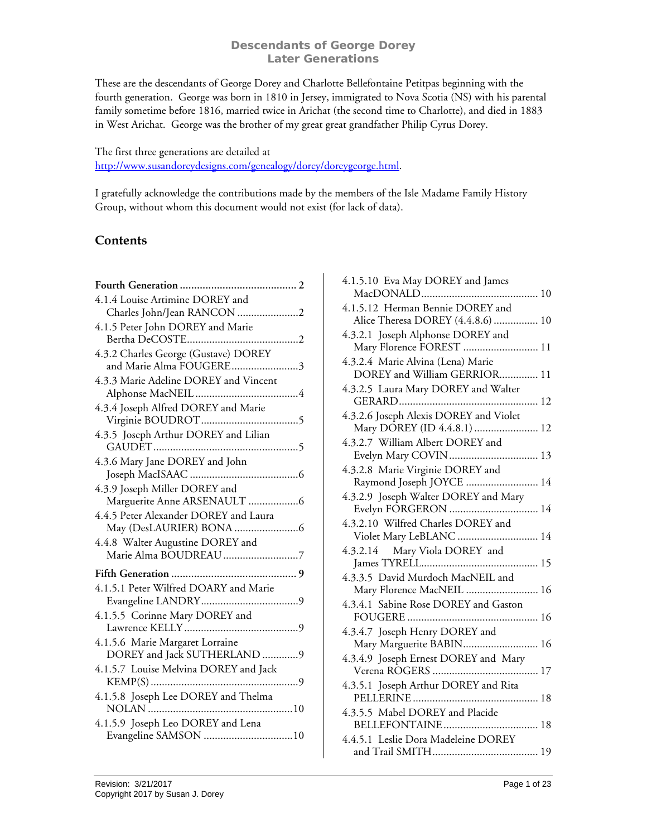These are the descendants of George Dorey and Charlotte Bellefontaine Petitpas beginning with the fourth generation. George was born in 1810 in Jersey, immigrated to Nova Scotia (NS) with his parental family sometime before 1816, married twice in Arichat (the second time to Charlotte), and died in 1883 in West Arichat. George was the brother of my great great grandfather Philip Cyrus Dorey.

# The first three generations are detailed at [http://www.susandoreydesigns.com/genealogy/dorey/doreygeorge.html.](http://www.susandoreydesigns.com/genealogy/dorey/doreygeorge.html)

I gratefully acknowledge the contributions made by the members of the Isle Madame Family History Group, without whom this document would not exist (for lack of data).

# **Contents**

| 4.1.4 Louise Artimine DOREY and                                 |
|-----------------------------------------------------------------|
| Charles John/Jean RANCON 2                                      |
| 4.1.5 Peter John DOREY and Marie                                |
|                                                                 |
| 4.3.2 Charles George (Gustave) DOREY<br>and Marie Alma FOUGERE3 |
| 4.3.3 Marie Adeline DOREY and Vincent                           |
| 4.3.4 Joseph Alfred DOREY and Marie                             |
| 4.3.5 Joseph Arthur DOREY and Lilian                            |
| 4.3.6 Mary Jane DOREY and John                                  |
| 4.3.9 Joseph Miller DOREY and<br>Marguerite Anne ARSENAULT 6    |
| 4.4.5 Peter Alexander DOREY and Laura                           |
| 4.4.8 Walter Augustine DOREY and<br>Marie Alma BOUDREAU 7       |
|                                                                 |
| 4.1.5.1 Peter Wilfred DOARY and Marie                           |
| 4.1.5.5 Corinne Mary DOREY and                                  |
| 4.1.5.6 Marie Margaret Lorraine<br>DOREY and Jack SUTHERLAND 9  |
| 4.1.5.7 Louise Melvina DOREY and Jack                           |
| 4.1.5.8 Joseph Lee DOREY and Thelma                             |
| 4.1.5.9 Joseph Leo DOREY and Lena<br>Evangeline SAMSON 10       |

| 4.1.5.10 Eva May DOREY and James                                      |
|-----------------------------------------------------------------------|
| 4.1.5.12 Herman Bennie DOREY and<br>Alice Theresa DOREY (4.4.8.6)  10 |
| 4.3.2.1 Joseph Alphonse DOREY and<br>Mary Florence FOREST  11         |
| 4.3.2.4 Marie Alvina (Lena) Marie<br>DOREY and William GERRIOR 11     |
| 4.3.2.5 Laura Mary DOREY and Walter                                   |
| 4.3.2.6 Joseph Alexis DOREY and Violet<br>Mary DOREY (ID 4.4.8.1)  12 |
| 4.3.2.7 William Albert DOREY and<br>Evelyn Mary COVIN  13             |
| 4.3.2.8 Marie Virginie DOREY and<br>Raymond Joseph JOYCE  14          |
| 4.3.2.9 Joseph Walter DOREY and Mary<br>Evelyn FORGERON  14           |
| 4.3.2.10 Wilfred Charles DOREY and<br>Violet Mary LeBLANC  14         |
| Mary Viola DOREY and<br>4.3.2.14                                      |
| 4.3.3.5 David Murdoch MacNEIL and<br>Mary Florence MacNEIL  16        |
| 4.3.4.1 Sabine Rose DOREY and Gaston                                  |
| 4.3.4.7 Joseph Henry DOREY and<br>Mary Marguerite BABIN 16            |
| 4.3.4.9 Joseph Ernest DOREY and Mary                                  |
| 4.3.5.1 Joseph Arthur DOREY and Rita                                  |
| 4.3.5.5 Mabel DOREY and Placide                                       |
| 4.4.5.1 Leslie Dora Madeleine DOREY                                   |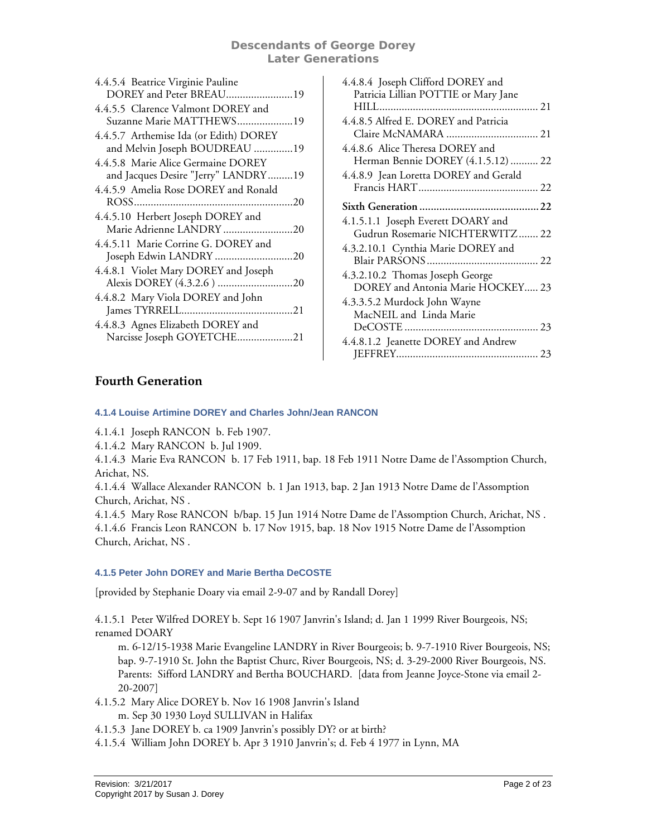| 4.4.5.4 Beatrice Virginie Pauline<br>DOREY and Peter BREAU19              |
|---------------------------------------------------------------------------|
| 4.4.5.5 Clarence Valmont DOREY and<br>Suzanne Marie MATTHEWS19            |
| 4.4.5.7 Arthemise Ida (or Edith) DOREY<br>and Melvin Joseph BOUDREAU 19   |
| 4.4.5.8 Marie Alice Germaine DOREY<br>and Jacques Desire "Jerry" LANDRY19 |
| 4.4.5.9 Amelia Rose DOREY and Ronald                                      |
| 4.4.5.10 Herbert Joseph DOREY and<br>Marie Adrienne LANDRY 20             |
| 4.4.5.11 Marie Corrine G. DOREY and<br>Joseph Edwin LANDRY 20             |
| 4.4.8.1 Violet Mary DOREY and Joseph                                      |
| 4.4.8.2 Mary Viola DOREY and John                                         |
| 4.4.8.3 Agnes Elizabeth DOREY and<br>Narcisse Joseph GOYETCHE21           |

| 4.4.8.4 Joseph Clifford DOREY and     |
|---------------------------------------|
| Patricia Lillian POTTIE or Mary Jane  |
|                                       |
| 4.4.8.5 Alfred E. DOREY and Patricia  |
|                                       |
| 4.4.8.6 Alice Theresa DOREY and       |
| Herman Bennie DOREY (4.1.5.12)  22    |
| 4.4.8.9 Jean Loretta DOREY and Gerald |
|                                       |
|                                       |
| 4.1.5.1.1 Joseph Everett DOARY and    |
| Gudrun Rosemarie NICHTERWITZ 22       |
| 4.3.2.10.1 Cynthia Marie DOREY and    |
|                                       |
| 4.3.2.10.2 Thomas Joseph George       |
| DOREY and Antonia Marie HOCKEY 23     |
| 4.3.3.5.2 Murdock John Wayne          |
| MacNEIL and Linda Marie               |
|                                       |
| 4.4.8.1.2 Jeanette DOREY and Andrew   |
|                                       |

# <span id="page-1-0"></span>**Fourth Generation**

#### **4.1.4 Louise Artimine DOREY and Charles John/Jean RANCON**

<span id="page-1-1"></span>4.1.4.1 Joseph RANCON b. Feb 1907.

4.1.4.2 Mary RANCON b. Jul 1909.

4.1.4.3 Marie Eva RANCON b. 17 Feb 1911, bap. 18 Feb 1911 Notre Dame de l'Assomption Church, Arichat, NS.

4.1.4.4 Wallace Alexander RANCON b. 1 Jan 1913, bap. 2 Jan 1913 Notre Dame de l'Assomption Church, Arichat, NS .

4.1.4.5 Mary Rose RANCON b/bap. 15 Jun 1914 Notre Dame de l'Assomption Church, Arichat, NS . 4.1.4.6 Francis Leon RANCON b. 17 Nov 1915, bap. 18 Nov 1915 Notre Dame de l'Assomption Church, Arichat, NS .

# <span id="page-1-2"></span>**4.1.5 Peter John DOREY and Marie Bertha DeCOSTE**

[provided by Stephanie Doary via email 2-9-07 and by Randall Dorey]

4.1.5.1 Peter Wilfred DOREY b. Sept 16 1907 Janvrin's Island; d. Jan 1 1999 River Bourgeois, NS; renamed DOARY

m. 6-12/15-1938 Marie Evangeline LANDRY in River Bourgeois; b. 9-7-1910 River Bourgeois, NS; bap. 9-7-1910 St. John the Baptist Churc, River Bourgeois, NS; d. 3-29-2000 River Bourgeois, NS. Parents: Sifford LANDRY and Bertha BOUCHARD. [data from Jeanne Joyce-Stone via email 2- 20-2007]

- 4.1.5.2 Mary Alice DOREY b. Nov 16 1908 Janvrin's Island
	- m. Sep 30 1930 Loyd SULLIVAN in Halifax
- 4.1.5.3 Jane DOREY b. ca 1909 Janvrin's possibly DY? or at birth?
- 4.1.5.4 William John DOREY b. Apr 3 1910 Janvrin's; d. Feb 4 1977 in Lynn, MA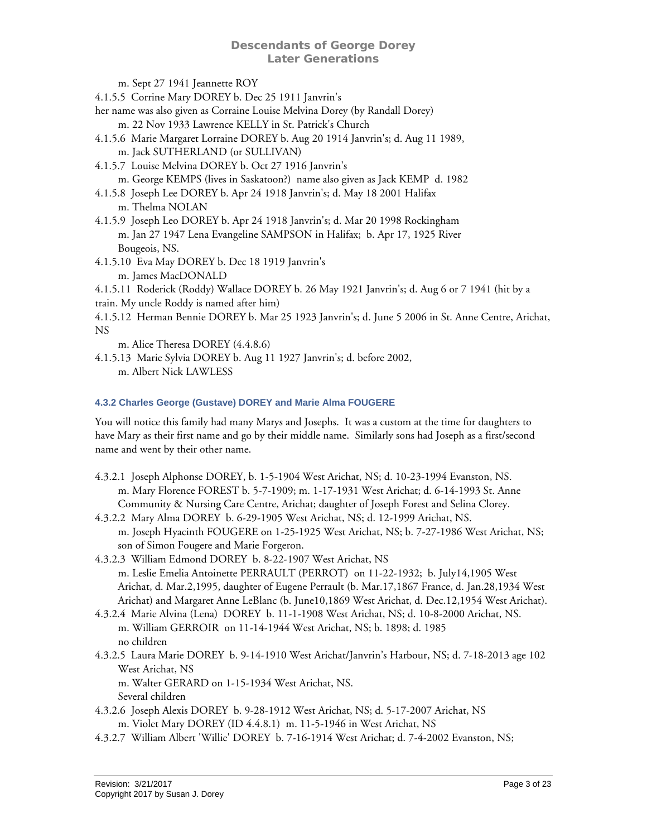m. Sept 27 1941 Jeannette ROY

4.1.5.5 Corrine Mary DOREY b. Dec 25 1911 Janvrin's

her name was also given as Corraine Louise Melvina Dorey (by Randall Dorey)

- m. 22 Nov 1933 Lawrence KELLY in St. Patrick's Church
- 4.1.5.6 Marie Margaret Lorraine DOREY b. Aug 20 1914 Janvrin's; d. Aug 11 1989, m. Jack SUTHERLAND (or SULLIVAN)
- 4.1.5.7 Louise Melvina DOREY b. Oct 27 1916 Janvrin's m. George KEMPS (lives in Saskatoon?) name also given as Jack KEMP d. 1982
- 4.1.5.8 Joseph Lee DOREY b. Apr 24 1918 Janvrin's; d. May 18 2001 Halifax m. Thelma NOLAN
- 4.1.5.9 Joseph Leo DOREY b. Apr 24 1918 Janvrin's; d. Mar 20 1998 Rockingham m. Jan 27 1947 Lena Evangeline SAMPSON in Halifax; b. Apr 17, 1925 River Bougeois, NS.
- 4.1.5.10 Eva May DOREY b. Dec 18 1919 Janvrin's
	- m. James MacDONALD
- 4.1.5.11 Roderick (Roddy) Wallace DOREY b. 26 May 1921 Janvrin's; d. Aug 6 or 7 1941 (hit by a train. My uncle Roddy is named after him)
- 4.1.5.12 Herman Bennie DOREY b. Mar 25 1923 Janvrin's; d. June 5 2006 in St. Anne Centre, Arichat, NS

m. Alice Theresa DOREY (4.4.8.6)

4.1.5.13 Marie Sylvia DOREY b. Aug 11 1927 Janvrin's; d. before 2002, m. Albert Nick LAWLESS

# <span id="page-2-0"></span>**4.3.2 Charles George (Gustave) DOREY and Marie Alma FOUGERE**

You will notice this family had many Marys and Josephs. It was a custom at the time for daughters to have Mary as their first name and go by their middle name. Similarly sons had Joseph as a first/second name and went by their other name.

- 4.3.2.1 Joseph Alphonse DOREY, b. 1-5-1904 West Arichat, NS; d. 10-23-1994 Evanston, NS. m. Mary Florence FOREST b. 5-7-1909; m. 1-17-1931 West Arichat; d. 6-14-1993 St. Anne Community & Nursing Care Centre, Arichat; daughter of Joseph Forest and Selina Clorey.
- 4.3.2.2 Mary Alma DOREY b. 6-29-1905 West Arichat, NS; d. 12-1999 Arichat, NS. m. Joseph Hyacinth FOUGERE on 1-25-1925 West Arichat, NS; b. 7-27-1986 West Arichat, NS; son of Simon Fougere and Marie Forgeron.
- 4.3.2.3 William Edmond DOREY b. 8-22-1907 West Arichat, NS m. Leslie Emelia Antoinette PERRAULT (PERROT) on 11-22-1932; b. July14,1905 West Arichat, d. Mar.2,1995, daughter of Eugene Perrault (b. Mar.17,1867 France, d. Jan.28,1934 West Arichat) and Margaret Anne LeBlanc (b. June10,1869 West Arichat, d. Dec.12,1954 West Arichat).
- 4.3.2.4 Marie Alvina (Lena) DOREY b. 11-1-1908 West Arichat, NS; d. 10-8-2000 Arichat, NS. m. William GERROIR on 11-14-1944 West Arichat, NS; b. 1898; d. 1985 no children
- 4.3.2.5 Laura Marie DOREY b. 9-14-1910 West Arichat/Janvrin's Harbour, NS; d. 7-18-2013 age 102 West Arichat, NS

m. Walter GERARD on 1-15-1934 West Arichat, NS. Several children

- 4.3.2.6 Joseph Alexis DOREY b. 9-28-1912 West Arichat, NS; d. 5-17-2007 Arichat, NS
- m. Violet Mary DOREY (ID 4.4.8.1) m. 11-5-1946 in West Arichat, NS
- 4.3.2.7 William Albert 'Willie' DOREY b. 7-16-1914 West Arichat; d. 7-4-2002 Evanston, NS;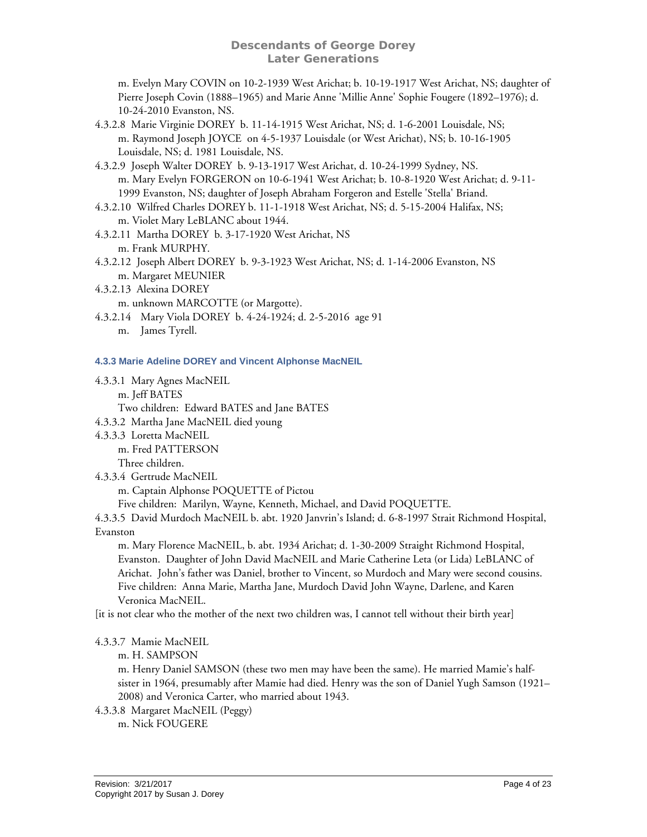m. Evelyn Mary COVIN on 10-2-1939 West Arichat; b. 10-19-1917 West Arichat, NS; daughter of Pierre Joseph Covin (1888–1965) and Marie Anne 'Millie Anne' Sophie Fougere (1892–1976); d. 10-24-2010 Evanston, NS.

- 4.3.2.8 Marie Virginie DOREY b. 11-14-1915 West Arichat, NS; d. 1-6-2001 Louisdale, NS; m. Raymond Joseph JOYCE on 4-5-1937 Louisdale (or West Arichat), NS; b. 10-16-1905 Louisdale, NS; d. 1981 Louisdale, NS.
- 4.3.2.9 Joseph Walter DOREY b. 9-13-1917 West Arichat, d. 10-24-1999 Sydney, NS. m. Mary Evelyn FORGERON on 10-6-1941 West Arichat; b. 10-8-1920 West Arichat; d. 9-11- 1999 Evanston, NS; daughter of Joseph Abraham Forgeron and Estelle 'Stella' Briand.
- 4.3.2.10 Wilfred Charles DOREY b. 11-1-1918 West Arichat, NS; d. 5-15-2004 Halifax, NS; m. Violet Mary LeBLANC about 1944.
- 4.3.2.11 Martha DOREY b. 3-17-1920 West Arichat, NS m. Frank MURPHY.
- 4.3.2.12 Joseph Albert DOREY b. 9-3-1923 West Arichat, NS; d. 1-14-2006 Evanston, NS m. Margaret MEUNIER
- 4.3.2.13 Alexina DOREY

m. unknown MARCOTTE (or Margotte).

4.3.2.14 Mary Viola DOREY b. 4-24-1924; d. 2-5-2016 age 91 m. James Tyrell.

<span id="page-3-0"></span>**4.3.3 Marie Adeline DOREY and Vincent Alphonse MacNEIL** 

- 4.3.3.1 Mary Agnes MacNEIL m. Jeff BATES Two children: Edward BATES and Jane BATES
- 4.3.3.2 Martha Jane MacNEIL died young
- 4.3.3.3 Loretta MacNEIL m. Fred PATTERSON Three children.
- 4.3.3.4 Gertrude MacNEIL

m. Captain Alphonse POQUETTE of Pictou

Five children: Marilyn, Wayne, Kenneth, Michael, and David POQUETTE.

4.3.3.5 David Murdoch MacNEIL b. abt. 1920 Janvrin's Island; d. 6-8-1997 Strait Richmond Hospital, Evanston

m. Mary Florence MacNEIL, b. abt. 1934 Arichat; d. 1-30-2009 Straight Richmond Hospital, Evanston. Daughter of John David MacNEIL and Marie Catherine Leta (or Lida) LeBLANC of Arichat. John's father was Daniel, brother to Vincent, so Murdoch and Mary were second cousins. Five children: Anna Marie, Martha Jane, Murdoch David John Wayne, Darlene, and Karen Veronica MacNEIL.

[it is not clear who the mother of the next two children was, I cannot tell without their birth year]

4.3.3.7 Mamie MacNEIL

m. H. SAMPSON

m. Henry Daniel SAMSON (these two men may have been the same). He married Mamie's halfsister in 1964, presumably after Mamie had died. Henry was the son of Daniel Yugh Samson (1921– 2008) and Veronica Carter, who married about 1943.

4.3.3.8 Margaret MacNEIL (Peggy) m. Nick FOUGERE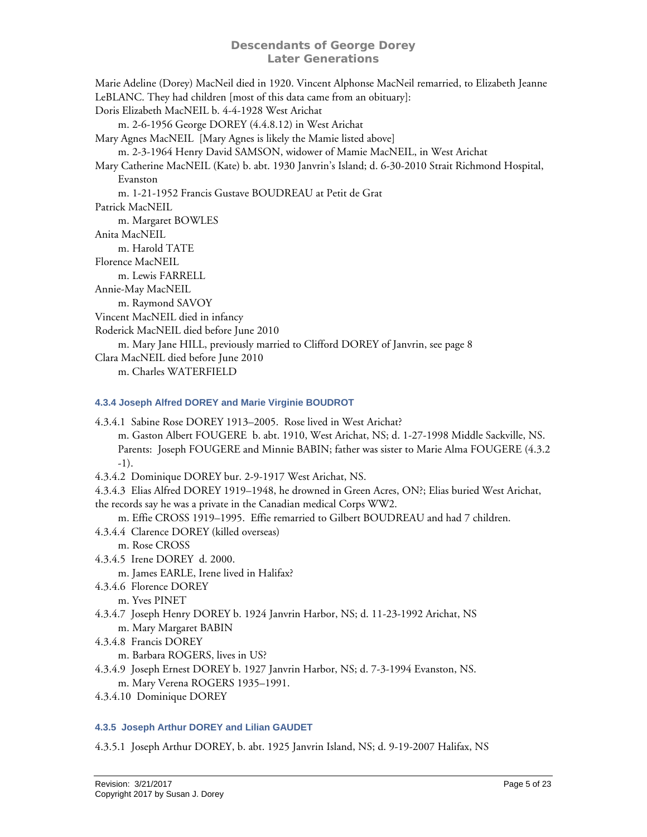<span id="page-4-2"></span>Marie Adeline (Dorey) MacNeil died in 1920. Vincent Alphonse MacNeil remarried, to Elizabeth Jeanne LeBLANC. They had children [most of this data came from an obituary]: Doris Elizabeth MacNEIL b. 4-4-1928 West Arichat m. 2-6-1956 George DOREY (4.4.8.12) in West Arichat Mary Agnes MacNEIL [Mary Agnes is likely the Mamie listed above] m. 2-3-1964 Henry David SAMSON, widower of Mamie MacNEIL, in West Arichat Mary Catherine MacNEIL (Kate) b. abt. 1930 Janvrin's Island; d. 6-30-2010 Strait Richmond Hospital, Evanston m. 1-21-1952 Francis Gustave BOUDREAU at Petit de Grat Patrick MacNEIL m. Margaret BOWLES Anita MacNEIL m. Harold TATE Florence MacNEIL m. Lewis FARRELL Annie-May MacNEIL m. Raymond SAVOY Vincent MacNEIL died in infancy Roderick MacNEIL died before June 2010 m. Mary Jane HILL, previously married to Clifford DOREY of Janvrin, see page [8](#page-7-0) Clara MacNEIL died before June 2010 m. Charles WATERFIELD

#### <span id="page-4-0"></span>**4.3.4 Joseph Alfred DOREY and Marie Virginie BOUDROT**

- 4.3.4.1 Sabine Rose DOREY 1913–2005. Rose lived in West Arichat? m. Gaston Albert FOUGERE b. abt. 1910, West Arichat, NS; d. 1-27-1998 Middle Sackville, NS. Parents: Joseph FOUGERE and Minnie BABIN; father was sister to Marie Alma FOUGERE (4.3.2 -1).
- 4.3.4.2 Dominique DOREY bur. 2-9-1917 West Arichat, NS.

4.3.4.3 Elias Alfred DOREY 1919–1948, he drowned in Green Acres, ON?; Elias buried West Arichat,

the records say he was a private in the Canadian medical Corps WW2.

m. Effie CROSS 1919–1995. Effie remarried to Gilbert BOUDREAU and had 7 children.

- 4.3.4.4 Clarence DOREY (killed overseas) m. Rose CROSS
- 4.3.4.5 Irene DOREY d. 2000.

m. James EARLE, Irene lived in Halifax?

- 4.3.4.6 Florence DOREY
	- m. Yves PINET
- 4.3.4.7 Joseph Henry DOREY b. 1924 Janvrin Harbor, NS; d. 11-23-1992 Arichat, NS m. Mary Margaret BABIN
- 4.3.4.8 Francis DOREY

m. Barbara ROGERS, lives in US?

- 4.3.4.9 Joseph Ernest DOREY b. 1927 Janvrin Harbor, NS; d. 7-3-1994 Evanston, NS. m. Mary Verena ROGERS 1935–1991.
- 4.3.4.10 Dominique DOREY

# <span id="page-4-1"></span>**4.3.5 Joseph Arthur DOREY and Lilian GAUDET**

4.3.5.1 Joseph Arthur DOREY, b. abt. 1925 Janvrin Island, NS; d. 9-19-2007 Halifax, NS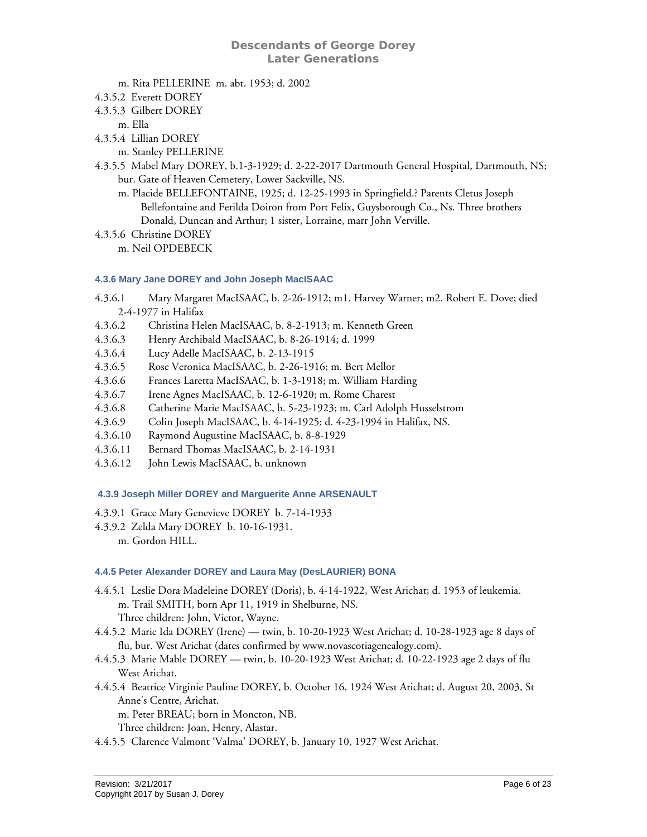- m. Rita PELLERINE m. abt. 1953; d. 2002
- 4.3.5.2 Everett DOREY
- 4.3.5.3 Gilbert DOREY

m. Ella

- 4.3.5.4 Lillian DOREY
	- m. Stanley PELLERINE
- 4.3.5.5 Mabel Mary DOREY, b.1-3-1929; d. 2-22-2017 Dartmouth General Hospital, Dartmouth, NS; bur. Gate of Heaven Cemetery, Lower Sackville, NS.
	- m. Placide BELLEFONTAINE, 1925; d. 12-25-1993 in Springfield.? Parents Cletus Joseph Bellefontaine and Ferilda Doiron from Port Felix, Guysborough Co., Ns. Three brothers Donald, Duncan and Arthur; 1 sister, Lorraine, marr John Verville.
- 4.3.5.6 Christine DOREY m. Neil OPDEBECK

#### <span id="page-5-0"></span>**4.3.6 Mary Jane DOREY and John Joseph MacISAAC**

- 4.3.6.1 Mary Margaret MacISAAC, b. 2-26-1912; m1. Harvey Warner; m2. Robert E. Dove; died 2-4-1977 in Halifax
- 4.3.6.2 Christina Helen MacISAAC, b. 8-2-1913; m. Kenneth Green
- 4.3.6.3 Henry Archibald MacISAAC, b. 8-26-1914; d. 1999
- 4.3.6.4 Lucy Adelle MacISAAC, b. 2-13-1915
- 4.3.6.5 Rose Veronica MacISAAC, b. 2-26-1916; m. Bert Mellor
- 4.3.6.6 Frances Laretta MacISAAC, b. 1-3-1918; m. William Harding
- 4.3.6.7 Irene Agnes MacISAAC, b. 12-6-1920; m. Rome Charest
- 4.3.6.8 Catherine Marie MacISAAC, b. 5-23-1923; m. Carl Adolph Husselstrom
- 4.3.6.9 Colin Joseph MacISAAC, b. 4-14-1925; d. 4-23-1994 in Halifax, NS.
- 4.3.6.10 Raymond Augustine MacISAAC, b. 8-8-1929
- 4.3.6.11 Bernard Thomas MacISAAC, b. 2-14-1931
- 4.3.6.12 John Lewis MacISAAC, b. unknown

#### <span id="page-5-1"></span> **4.3.9 Joseph Miller DOREY and Marguerite Anne ARSENAULT**

- 4.3.9.1 Grace Mary Genevieve DOREY b. 7-14-1933
- 4.3.9.2 Zelda Mary DOREY b. 10-16-1931. m. Gordon HILL.

#### <span id="page-5-2"></span>**4.4.5 Peter Alexander DOREY and Laura May (DesLAURIER) BONA**

- 4.4.5.1 Leslie Dora Madeleine DOREY (Doris), b. 4-14-1922, West Arichat; d. 1953 of leukemia. m. Trail SMITH, born Apr 11, 1919 in Shelburne, NS. Three children: John, Victor, Wayne.
- 4.4.5.2 Marie Ida DOREY (Irene) twin, b. 10-20-1923 West Arichat; d. 10-28-1923 age 8 days of flu, bur. West Arichat (dates confirmed by www.novascotiagenealogy.com).
- 4.4.5.3 Marie Mable DOREY twin, b. 10-20-1923 West Arichat; d. 10-22-1923 age 2 days of flu West Arichat.
- 4.4.5.4 Beatrice Virginie Pauline DOREY, b. October 16, 1924 West Arichat; d. August 20, 2003, St Anne's Centre, Arichat.
	- m. Peter BREAU; born in Moncton, NB.
	- Three children: Joan, Henry, Alastar.
- 4.4.5.5 Clarence Valmont 'Valma' DOREY, b. January 10, 1927 West Arichat.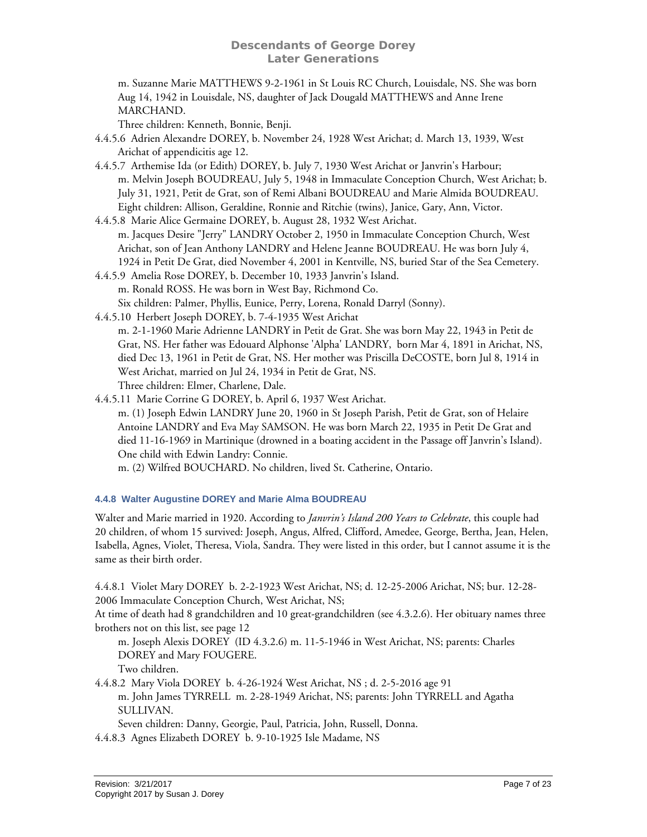m. Suzanne Marie MATTHEWS 9-2-1961 in St Louis RC Church, Louisdale, NS. She was born Aug 14, 1942 in Louisdale, NS, daughter of Jack Dougald MATTHEWS and Anne Irene MARCHAND.

Three children: Kenneth, Bonnie, Benji.

- 4.4.5.6 Adrien Alexandre DOREY, b. November 24, 1928 West Arichat; d. March 13, 1939, West Arichat of appendicitis age 12.
- 4.4.5.7 Arthemise Ida (or Edith) DOREY, b. July 7, 1930 West Arichat or Janvrin's Harbour; m. Melvin Joseph BOUDREAU, July 5, 1948 in Immaculate Conception Church, West Arichat; b. July 31, 1921, Petit de Grat, son of Remi Albani BOUDREAU and Marie Almida BOUDREAU. Eight children: Allison, Geraldine, Ronnie and Ritchie (twins), Janice, Gary, Ann, Victor.
- 4.4.5.8 Marie Alice Germaine DOREY, b. August 28, 1932 West Arichat. m. Jacques Desire "Jerry" LANDRY October 2, 1950 in Immaculate Conception Church, West Arichat, son of Jean Anthony LANDRY and Helene Jeanne BOUDREAU. He was born July 4, 1924 in Petit De Grat, died November 4, 2001 in Kentville, NS, buried Star of the Sea Cemetery.
- 4.4.5.9 Amelia Rose DOREY, b. December 10, 1933 Janvrin's Island. m. Ronald ROSS. He was born in West Bay, Richmond Co. Six children: Palmer, Phyllis, Eunice, Perry, Lorena, Ronald Darryl (Sonny).
- 4.4.5.10 Herbert Joseph DOREY, b. 7-4-1935 West Arichat m. 2-1-1960 Marie Adrienne LANDRY in Petit de Grat. She was born May 22, 1943 in Petit de Grat, NS. Her father was Edouard Alphonse 'Alpha' LANDRY, born Mar 4, 1891 in Arichat, NS, died Dec 13, 1961 in Petit de Grat, NS. Her mother was Priscilla DeCOSTE, born Jul 8, 1914 in West Arichat, married on Jul 24, 1934 in Petit de Grat, NS. Three children: Elmer, Charlene, Dale.
- 4.4.5.11 Marie Corrine G DOREY, b. April 6, 1937 West Arichat. m. (1) Joseph Edwin LANDRY June 20, 1960 in St Joseph Parish, Petit de Grat, son of Helaire Antoine LANDRY and Eva May SAMSON. He was born March 22, 1935 in Petit De Grat and died 11-16-1969 in Martinique (drowned in a boating accident in the Passage off Janvrin's Island). One child with Edwin Landry: Connie.

m. (2) Wilfred BOUCHARD. No children, lived St. Catherine, Ontario.

# <span id="page-6-0"></span>**4.4.8 Walter Augustine DOREY and Marie Alma BOUDREAU**

Walter and Marie married in 1920. According to *Janvrin's Island 200 Years to Celebrate*, this couple had 20 children, of whom 15 survived: Joseph, Angus, Alfred, Clifford, Amedee, George, Bertha, Jean, Helen, Isabella, Agnes, Violet, Theresa, Viola, Sandra. They were listed in this order, but I cannot assume it is the same as their birth order.

4.4.8.1 Violet Mary DOREY b. 2-2-1923 West Arichat, NS; d. 12-25-2006 Arichat, NS; bur. 12-28- 2006 Immaculate Conception Church, West Arichat, NS;

At time of death had 8 grandchildren and 10 great-grandchildren (see 4.3.2.6). Her obituary names three brothers not on this list, see page [12](#page-11-2)

m. Joseph Alexis DOREY (ID 4.3.2.6) m. 11-5-1946 in West Arichat, NS; parents: Charles DOREY and Mary FOUGERE.

Two children.

4.4.8.2 Mary Viola DOREY b. 4-26-1924 West Arichat, NS ; d. 2-5-2016 age 91 m. John James TYRRELL m. 2-28-1949 Arichat, NS; parents: John TYRRELL and Agatha SULLIVAN.

Seven children: Danny, Georgie, Paul, Patricia, John, Russell, Donna.

4.4.8.3 Agnes Elizabeth DOREY b. 9-10-1925 Isle Madame, NS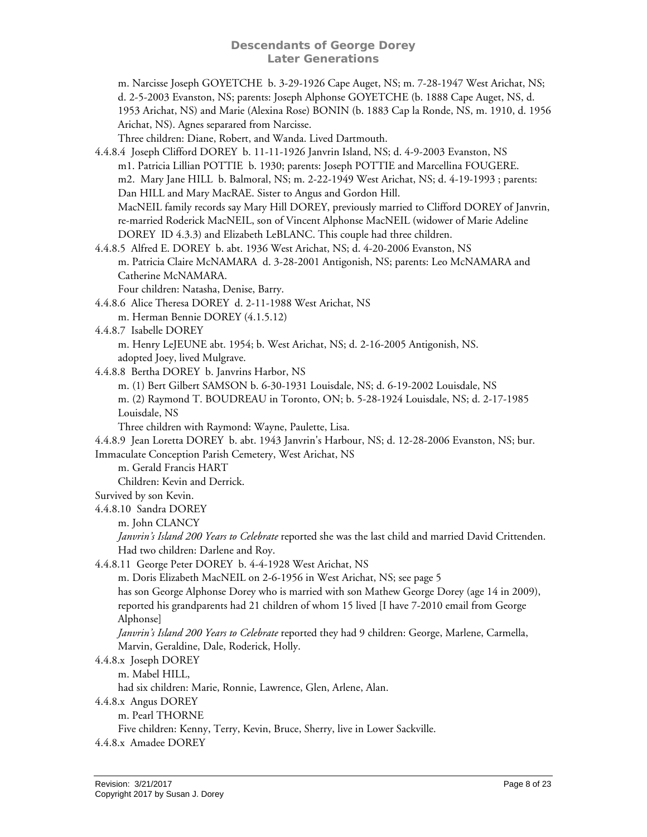m. Narcisse Joseph GOYETCHE b. 3-29-1926 Cape Auget, NS; m. 7-28-1947 West Arichat, NS; d. 2-5-2003 Evanston, NS; parents: Joseph Alphonse GOYETCHE (b. 1888 Cape Auget, NS, d. 1953 Arichat, NS) and Marie (Alexina Rose) BONIN (b. 1883 Cap la Ronde, NS, m. 1910, d. 1956 Arichat, NS). Agnes separared from Narcisse.

Three children: Diane, Robert, and Wanda. Lived Dartmouth.

- <span id="page-7-0"></span>4.4.8.4 Joseph Clifford DOREY b. 11-11-1926 Janvrin Island, NS; d. 4-9-2003 Evanston, NS m1. Patricia Lillian POTTIE b. 1930; parents: Joseph POTTIE and Marcellina FOUGERE. m2. Mary Jane HILL b. Balmoral, NS; m. 2-22-1949 West Arichat, NS; d. 4-19-1993 ; parents: Dan HILL and Mary MacRAE. Sister to Angus and Gordon Hill. MacNEIL family records say Mary Hill DOREY, previously married to Clifford DOREY of Janvrin, re-married Roderick MacNEIL, son of Vincent Alphonse MacNEIL (widower of Marie Adeline DOREY ID 4.3.3) and Elizabeth LeBLANC. This couple had three children.
- 4.4.8.5 Alfred E. DOREY b. abt. 1936 West Arichat, NS; d. 4-20-2006 Evanston, NS m. Patricia Claire McNAMARA d. 3-28-2001 Antigonish, NS; parents: Leo McNAMARA and Catherine McNAMARA.

Four children: Natasha, Denise, Barry.

- 4.4.8.6 Alice Theresa DOREY d. 2-11-1988 West Arichat, NS
	- m. Herman Bennie DOREY (4.1.5.12)
- 4.4.8.7 Isabelle DOREY

m. Henry LeJEUNE abt. 1954; b. West Arichat, NS; d. 2-16-2005 Antigonish, NS. adopted Joey, lived Mulgrave.

- 4.4.8.8 Bertha DOREY b. Janvrins Harbor, NS
	- m. (1) Bert Gilbert SAMSON b. 6-30-1931 Louisdale, NS; d. 6-19-2002 Louisdale, NS

m. (2) Raymond T. BOUDREAU in Toronto, ON; b. 5-28-1924 Louisdale, NS; d. 2-17-1985 Louisdale, NS

Three children with Raymond: Wayne, Paulette, Lisa.

4.4.8.9 Jean Loretta DOREY b. abt. 1943 Janvrin's Harbour, NS; d. 12-28-2006 Evanston, NS; bur. Immaculate Conception Parish Cemetery, West Arichat, NS

m. Gerald Francis HART

Children: Kevin and Derrick.

- Survived by son Kevin.
- 4.4.8.10 Sandra DOREY

m. John CLANCY

*Janvrin's Island 200 Years to Celebrate* reported she was the last child and married David Crittenden. Had two children: Darlene and Roy.

4.4.8.11 George Peter DOREY b. 4-4-1928 West Arichat, NS

m. Doris Elizabeth MacNEIL on 2-6-1956 in West Arichat, NS; see page [5](#page-4-2) 

has son George Alphonse Dorey who is married with son Mathew George Dorey (age 14 in 2009), reported his grandparents had 21 children of whom 15 lived [I have 7-2010 email from George Alphonse]

*Janvrin's Island 200 Years to Celebrate* reported they had 9 children: George, Marlene, Carmella, Marvin, Geraldine, Dale, Roderick, Holly.

4.4.8.x Joseph DOREY

m. Mabel HILL,

had six children: Marie, Ronnie, Lawrence, Glen, Arlene, Alan.

- 4.4.8.x Angus DOREY
	- m. Pearl THORNE

Five children: Kenny, Terry, Kevin, Bruce, Sherry, live in Lower Sackville.

4.4.8.x Amadee DOREY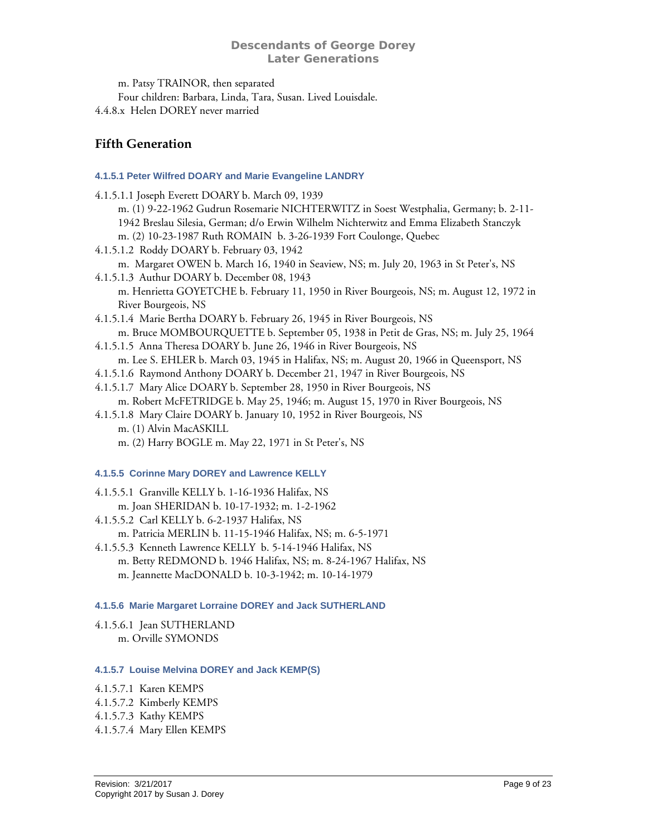m. Patsy TRAINOR, then separated Four children: Barbara, Linda, Tara, Susan. Lived Louisdale. 4.4.8.x Helen DOREY never married

# <span id="page-8-0"></span>**Fifth Generation**

# **4.1.5.1 Peter Wilfred DOARY and Marie Evangeline LANDRY**

- <span id="page-8-1"></span>4.1.5.1.1 Joseph Everett DOARY b. March 09, 1939 m. (1) 9-22-1962 Gudrun Rosemarie NICHTERWITZ in Soest Westphalia, Germany; b. 2-11- 1942 Breslau Silesia, German; d/o Erwin Wilhelm Nichterwitz and Emma Elizabeth Stanczyk
	- m. (2) 10-23-1987 Ruth ROMAIN b. 3-26-1939 Fort Coulonge, Quebec
- 4.1.5.1.2 Roddy DOARY b. February 03, 1942 m. Margaret OWEN b. March 16, 1940 in Seaview, NS; m. July 20, 1963 in St Peter's, NS
- 4.1.5.1.3 Authur DOARY b. December 08, 1943 m. Henrietta GOYETCHE b. February 11, 1950 in River Bourgeois, NS; m. August 12, 1972 in River Bourgeois, NS
- 4.1.5.1.4 Marie Bertha DOARY b. February 26, 1945 in River Bourgeois, NS m. Bruce MOMBOURQUETTE b. September 05, 1938 in Petit de Gras, NS; m. July 25, 1964
- 4.1.5.1.5 Anna Theresa DOARY b. June 26, 1946 in River Bourgeois, NS m. Lee S. EHLER b. March 03, 1945 in Halifax, NS; m. August 20, 1966 in Queensport, NS
- 4.1.5.1.6 Raymond Anthony DOARY b. December 21, 1947 in River Bourgeois, NS
- 4.1.5.1.7 Mary Alice DOARY b. September 28, 1950 in River Bourgeois, NS m. Robert McFETRIDGE b. May 25, 1946; m. August 15, 1970 in River Bourgeois, NS
- 4.1.5.1.8 Mary Claire DOARY b. January 10, 1952 in River Bourgeois, NS m. (1) Alvin MacASKILL
	- m. (2) Harry BOGLE m. May 22, 1971 in St Peter's, NS

# <span id="page-8-2"></span>**4.1.5.5 Corinne Mary DOREY and Lawrence KELLY**

4.1.5.5.1 Granville KELLY b. 1-16-1936 Halifax, NS m. Joan SHERIDAN b. 10-17-1932; m. 1-2-1962 4.1.5.5.2 Carl KELLY b. 6-2-1937 Halifax, NS m. Patricia MERLIN b. 11-15-1946 Halifax, NS; m. 6-5-1971

4.1.5.5.3 Kenneth Lawrence KELLY b. 5-14-1946 Halifax, NS m. Betty REDMOND b. 1946 Halifax, NS; m. 8-24-1967 Halifax, NS m. Jeannette MacDONALD b. 10-3-1942; m. 10-14-1979

# <span id="page-8-3"></span>**4.1.5.6 Marie Margaret Lorraine DOREY and Jack SUTHERLAND**

4.1.5.6.1 Jean SUTHERLAND m. Orville SYMONDS

# <span id="page-8-4"></span>**4.1.5.7 Louise Melvina DOREY and Jack KEMP(S)**

4.1.5.7.1 Karen KEMPS

4.1.5.7.2 Kimberly KEMPS

4.1.5.7.3 Kathy KEMPS

4.1.5.7.4 Mary Ellen KEMPS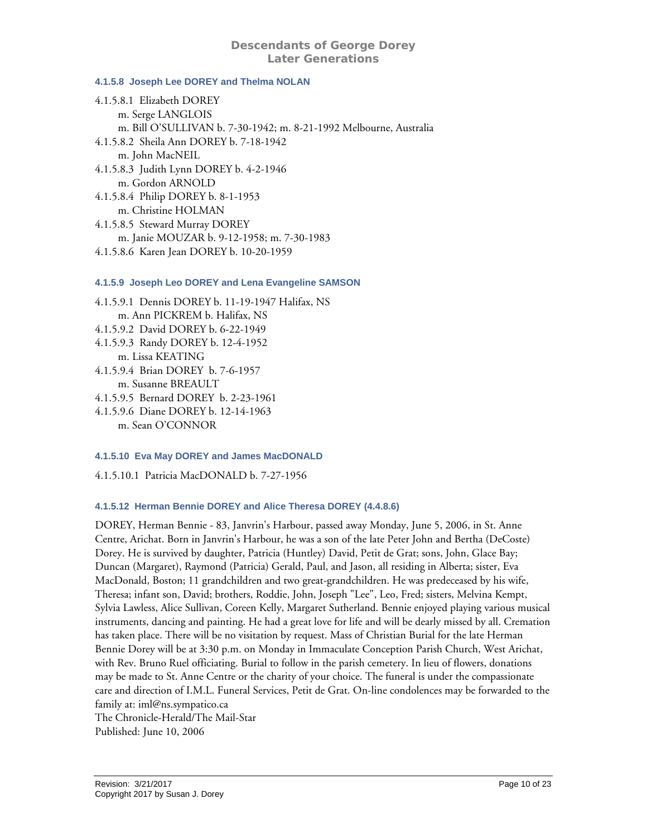#### <span id="page-9-0"></span>**4.1.5.8 Joseph Lee DOREY and Thelma NOLAN**

4.1.5.8.1 Elizabeth DOREY m. Serge LANGLOIS m. Bill O'SULLIVAN b. 7-30-1942; m. 8-21-1992 Melbourne, Australia 4.1.5.8.2 Sheila Ann DOREY b. 7-18-1942 m. John MacNEIL 4.1.5.8.3 Judith Lynn DOREY b. 4-2-1946 m. Gordon ARNOLD 4.1.5.8.4 Philip DOREY b. 8-1-1953 m. Christine HOLMAN 4.1.5.8.5 Steward Murray DOREY m. Janie MOUZAR b. 9-12-1958; m. 7-30-1983 4.1.5.8.6 Karen Jean DOREY b. 10-20-1959

#### <span id="page-9-1"></span>**4.1.5.9 Joseph Leo DOREY and Lena Evangeline SAMSON**

4.1.5.9.1 Dennis DOREY b. 11-19-1947 Halifax, NS m. Ann PICKREM b. Halifax, NS 4.1.5.9.2 David DOREY b. 6-22-1949 4.1.5.9.3 Randy DOREY b. 12-4-1952 m. Lissa KEATING 4.1.5.9.4 Brian DOREY b. 7-6-1957 m. Susanne BREAULT 4.1.5.9.5 Bernard DOREY b. 2-23-1961

4.1.5.9.6 Diane DOREY b. 12-14-1963 m. Sean O'CONNOR

# <span id="page-9-2"></span>**4.1.5.10 Eva May DOREY and James MacDONALD**

4.1.5.10.1 Patricia MacDONALD b. 7-27-1956

# <span id="page-9-3"></span>**4.1.5.12 Herman Bennie DOREY and Alice Theresa DOREY (4.4.8.6)**

DOREY, Herman Bennie - 83, Janvrin's Harbour, passed away Monday, June 5, 2006, in St. Anne Centre, Arichat. Born in Janvrin's Harbour, he was a son of the late Peter John and Bertha (DeCoste) Dorey. He is survived by daughter, Patricia (Huntley) David, Petit de Grat; sons, John, Glace Bay; Duncan (Margaret), Raymond (Patricia) Gerald, Paul, and Jason, all residing in Alberta; sister, Eva MacDonald, Boston; 11 grandchildren and two great-grandchildren. He was predeceased by his wife, Theresa; infant son, David; brothers, Roddie, John, Joseph "Lee", Leo, Fred; sisters, Melvina Kempt, Sylvia Lawless, Alice Sullivan, Coreen Kelly, Margaret Sutherland. Bennie enjoyed playing various musical instruments, dancing and painting. He had a great love for life and will be dearly missed by all. Cremation has taken place. There will be no visitation by request. Mass of Christian Burial for the late Herman Bennie Dorey will be at 3:30 p.m. on Monday in Immaculate Conception Parish Church, West Arichat, with Rev. Bruno Ruel officiating. Burial to follow in the parish cemetery. In lieu of flowers, donations may be made to St. Anne Centre or the charity of your choice. The funeral is under the compassionate care and direction of I.M.L. Funeral Services, Petit de Grat. On-line condolences may be forwarded to the family at: iml@ns.sympatico.ca The Chronicle-Herald/The Mail-Star

Published: June 10, 2006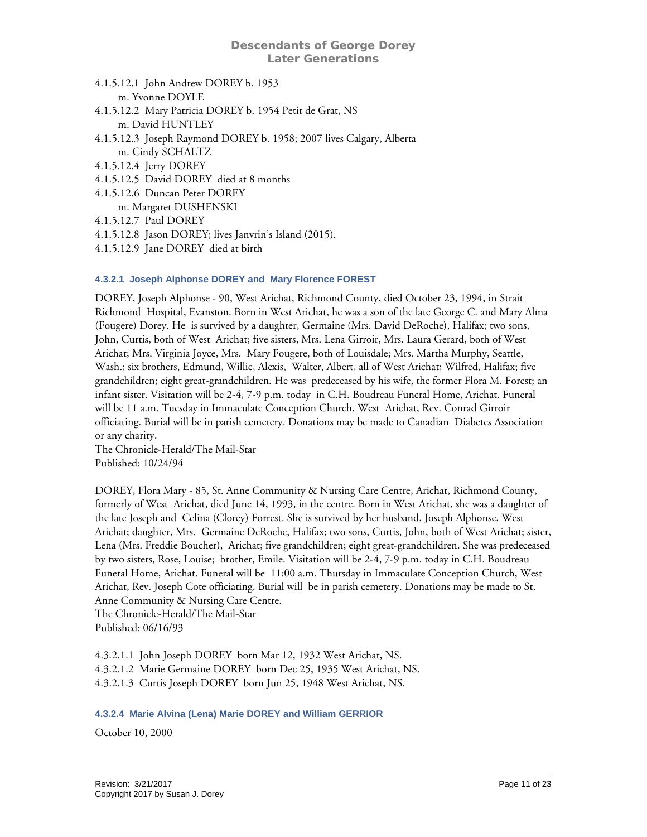- 4.1.5.12.1 John Andrew DOREY b. 1953 m. Yvonne DOYLE
- 4.1.5.12.2 Mary Patricia DOREY b. 1954 Petit de Grat, NS m. David HUNTLEY
- 4.1.5.12.3 Joseph Raymond DOREY b. 1958; 2007 lives Calgary, Alberta m. Cindy SCHALTZ
- 4.1.5.12.4 Jerry DOREY
- 4.1.5.12.5 David DOREY died at 8 months
- 4.1.5.12.6 Duncan Peter DOREY
- m. Margaret DUSHENSKI
- 4.1.5.12.7 Paul DOREY
- 4.1.5.12.8 Jason DOREY; lives Janvrin's Island (2015).
- 4.1.5.12.9 Jane DOREY died at birth

# <span id="page-10-0"></span>**4.3.2.1 Joseph Alphonse DOREY and Mary Florence FOREST**

DOREY, Joseph Alphonse - 90, West Arichat, Richmond County, died October 23, 1994, in Strait Richmond Hospital, Evanston. Born in West Arichat, he was a son of the late George C. and Mary Alma (Fougere) Dorey. He is survived by a daughter, Germaine (Mrs. David DeRoche), Halifax; two sons, John, Curtis, both of West Arichat; five sisters, Mrs. Lena Girroir, Mrs. Laura Gerard, both of West Arichat; Mrs. Virginia Joyce, Mrs. Mary Fougere, both of Louisdale; Mrs. Martha Murphy, Seattle, Wash.; six brothers, Edmund, Willie, Alexis, Walter, Albert, all of West Arichat; Wilfred, Halifax; five grandchildren; eight great-grandchildren. He was predeceased by his wife, the former Flora M. Forest; an infant sister. Visitation will be 2-4, 7-9 p.m. today in C.H. Boudreau Funeral Home, Arichat. Funeral will be 11 a.m. Tuesday in Immaculate Conception Church, West Arichat, Rev. Conrad Girroir officiating. Burial will be in parish cemetery. Donations may be made to Canadian Diabetes Association or any charity.

The Chronicle-Herald/The Mail-Star Published: 10/24/94

DOREY, Flora Mary - 85, St. Anne Community & Nursing Care Centre, Arichat, Richmond County, formerly of West Arichat, died June 14, 1993, in the centre. Born in West Arichat, she was a daughter of the late Joseph and Celina (Clorey) Forrest. She is survived by her husband, Joseph Alphonse, West Arichat; daughter, Mrs. Germaine DeRoche, Halifax; two sons, Curtis, John, both of West Arichat; sister, Lena (Mrs. Freddie Boucher), Arichat; five grandchildren; eight great-grandchildren. She was predeceased by two sisters, Rose, Louise; brother, Emile. Visitation will be 2-4, 7-9 p.m. today in C.H. Boudreau Funeral Home, Arichat. Funeral will be 11:00 a.m. Thursday in Immaculate Conception Church, West Arichat, Rev. Joseph Cote officiating. Burial will be in parish cemetery. Donations may be made to St. Anne Community & Nursing Care Centre. The Chronicle-Herald/The Mail-Star

Published: 06/16/93

4.3.2.1.1 John Joseph DOREY born Mar 12, 1932 West Arichat, NS. 4.3.2.1.2 Marie Germaine DOREY born Dec 25, 1935 West Arichat, NS. 4.3.2.1.3 Curtis Joseph DOREY born Jun 25, 1948 West Arichat, NS.

#### <span id="page-10-1"></span>**4.3.2.4 Marie Alvina (Lena) Marie DOREY and William GERRIOR**

October 10, 2000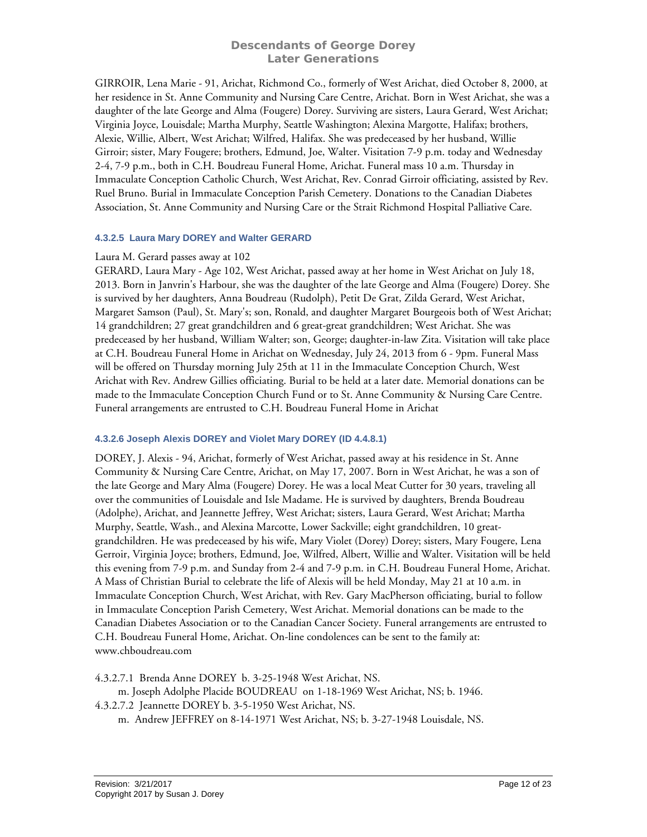GIRROIR, Lena Marie - 91, Arichat, Richmond Co., formerly of West Arichat, died October 8, 2000, at her residence in St. Anne Community and Nursing Care Centre, Arichat. Born in West Arichat, she was a daughter of the late George and Alma (Fougere) Dorey. Surviving are sisters, Laura Gerard, West Arichat; Virginia Joyce, Louisdale; Martha Murphy, Seattle Washington; Alexina Margotte, Halifax; brothers, Alexie, Willie, Albert, West Arichat; Wilfred, Halifax. She was predeceased by her husband, Willie Girroir; sister, Mary Fougere; brothers, Edmund, Joe, Walter. Visitation 7-9 p.m. today and Wednesday 2-4, 7-9 p.m., both in C.H. Boudreau Funeral Home, Arichat. Funeral mass 10 a.m. Thursday in Immaculate Conception Catholic Church, West Arichat, Rev. Conrad Girroir officiating, assisted by Rev. Ruel Bruno. Burial in Immaculate Conception Parish Cemetery. Donations to the Canadian Diabetes Association, St. Anne Community and Nursing Care or the Strait Richmond Hospital Palliative Care.

#### <span id="page-11-0"></span>**4.3.2.5 Laura Mary DOREY and Walter GERARD**

#### Laura M. Gerard passes away at 102

GERARD, Laura Mary - Age 102, West Arichat, passed away at her home in West Arichat on July 18, 2013. Born in Janvrin's Harbour, she was the daughter of the late George and Alma (Fougere) Dorey. She is survived by her daughters, Anna Boudreau (Rudolph), Petit De Grat, Zilda Gerard, West Arichat, Margaret Samson (Paul), St. Mary's; son, Ronald, and daughter Margaret Bourgeois both of West Arichat; 14 grandchildren; 27 great grandchildren and 6 great-great grandchildren; West Arichat. She was predeceased by her husband, William Walter; son, George; daughter-in-law Zita. Visitation will take place at C.H. Boudreau Funeral Home in Arichat on Wednesday, July 24, 2013 from 6 - 9pm. Funeral Mass will be offered on Thursday morning July 25th at 11 in the Immaculate Conception Church, West Arichat with Rev. Andrew Gillies officiating. Burial to be held at a later date. Memorial donations can be made to the Immaculate Conception Church Fund or to St. Anne Community & Nursing Care Centre. Funeral arrangements are entrusted to C.H. Boudreau Funeral Home in Arichat

# <span id="page-11-1"></span>**4.3.2.6 Joseph Alexis DOREY and Violet Mary DOREY (ID 4.4.8.1)**

DOREY, J. Alexis - 94, Arichat, formerly of West Arichat, passed away at his residence in St. Anne Community & Nursing Care Centre, Arichat, on May 17, 2007. Born in West Arichat, he was a son of the late George and Mary Alma (Fougere) Dorey. He was a local Meat Cutter for 30 years, traveling all over the communities of Louisdale and Isle Madame. He is survived by daughters, Brenda Boudreau (Adolphe), Arichat, and Jeannette Jeffrey, West Arichat; sisters, Laura Gerard, West Arichat; Martha Murphy, Seattle, Wash., and Alexina Marcotte, Lower Sackville; eight grandchildren, 10 greatgrandchildren. He was predeceased by his wife, Mary Violet (Dorey) Dorey; sisters, Mary Fougere, Lena Gerroir, Virginia Joyce; brothers, Edmund, Joe, Wilfred, Albert, Willie and Walter. Visitation will be held this evening from 7-9 p.m. and Sunday from 2-4 and 7-9 p.m. in C.H. Boudreau Funeral Home, Arichat. A Mass of Christian Burial to celebrate the life of Alexis will be held Monday, May 21 at 10 a.m. in Immaculate Conception Church, West Arichat, with Rev. Gary MacPherson officiating, burial to follow in Immaculate Conception Parish Cemetery, West Arichat. Memorial donations can be made to the Canadian Diabetes Association or to the Canadian Cancer Society. Funeral arrangements are entrusted to C.H. Boudreau Funeral Home, Arichat. On-line condolences can be sent to the family at: www.chboudreau.com

<span id="page-11-2"></span>4.3.2.7.1 Brenda Anne DOREY b. 3-25-1948 West Arichat, NS.

m. Joseph Adolphe Placide BOUDREAU on 1-18-1969 West Arichat, NS; b. 1946.

4.3.2.7.2 Jeannette DOREY b. 3-5-1950 West Arichat, NS.

m. Andrew JEFFREY on 8-14-1971 West Arichat, NS; b. 3-27-1948 Louisdale, NS.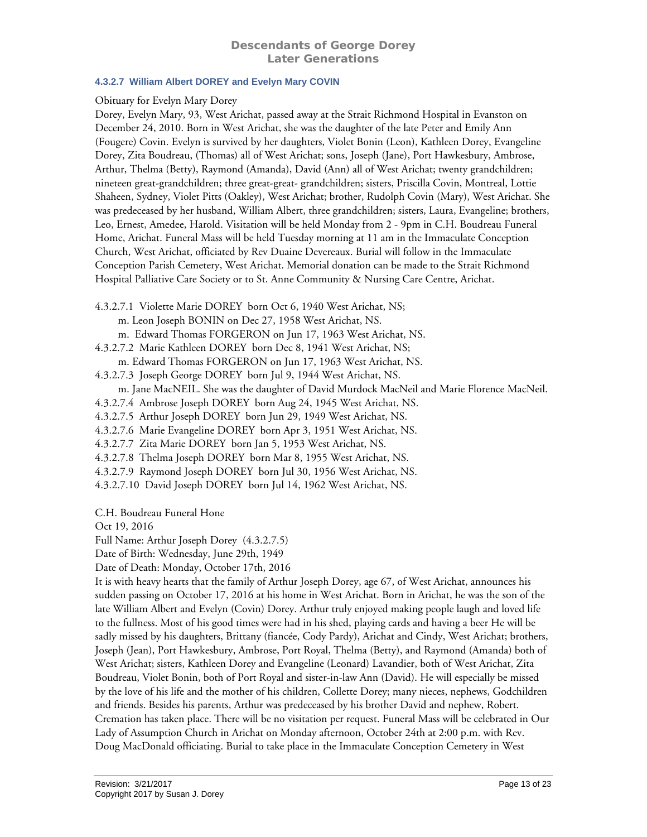# <span id="page-12-0"></span>**4.3.2.7 William Albert DOREY and Evelyn Mary COVIN**

#### Obituary for Evelyn Mary Dorey

Dorey, Evelyn Mary, 93, West Arichat, passed away at the Strait Richmond Hospital in Evanston on December 24, 2010. Born in West Arichat, she was the daughter of the late Peter and Emily Ann (Fougere) Covin. Evelyn is survived by her daughters, Violet Bonin (Leon), Kathleen Dorey, Evangeline Dorey, Zita Boudreau, (Thomas) all of West Arichat; sons, Joseph (Jane), Port Hawkesbury, Ambrose, Arthur, Thelma (Betty), Raymond (Amanda), David (Ann) all of West Arichat; twenty grandchildren; nineteen great-grandchildren; three great-great- grandchildren; sisters, Priscilla Covin, Montreal, Lottie Shaheen, Sydney, Violet Pitts (Oakley), West Arichat; brother, Rudolph Covin (Mary), West Arichat. She was predeceased by her husband, William Albert, three grandchildren; sisters, Laura, Evangeline; brothers, Leo, Ernest, Amedee, Harold. Visitation will be held Monday from 2 - 9pm in C.H. Boudreau Funeral Home, Arichat. Funeral Mass will be held Tuesday morning at 11 am in the Immaculate Conception Church, West Arichat, officiated by Rev Duaine Devereaux. Burial will follow in the Immaculate Conception Parish Cemetery, West Arichat. Memorial donation can be made to the Strait Richmond Hospital Palliative Care Society or to St. Anne Community & Nursing Care Centre, Arichat.

- 4.3.2.7.1 Violette Marie DOREY born Oct 6, 1940 West Arichat, NS;
	- m. Leon Joseph BONIN on Dec 27, 1958 West Arichat, NS.
	- m. Edward Thomas FORGERON on Jun 17, 1963 West Arichat, NS.
- 4.3.2.7.2 Marie Kathleen DOREY born Dec 8, 1941 West Arichat, NS;
- m. Edward Thomas FORGERON on Jun 17, 1963 West Arichat, NS.
- 4.3.2.7.3 Joseph George DOREY born Jul 9, 1944 West Arichat, NS.
	- m. Jane MacNEIL. She was the daughter of David Murdock MacNeil and Marie Florence MacNeil.
- 4.3.2.7.4 Ambrose Joseph DOREY born Aug 24, 1945 West Arichat, NS.
- 4.3.2.7.5 Arthur Joseph DOREY born Jun 29, 1949 West Arichat, NS.
- 4.3.2.7.6 Marie Evangeline DOREY born Apr 3, 1951 West Arichat, NS.
- 4.3.2.7.7 Zita Marie DOREY born Jan 5, 1953 West Arichat, NS.
- 4.3.2.7.8 Thelma Joseph DOREY born Mar 8, 1955 West Arichat, NS.
- 4.3.2.7.9 Raymond Joseph DOREY born Jul 30, 1956 West Arichat, NS.
- 4.3.2.7.10 David Joseph DOREY born Jul 14, 1962 West Arichat, NS.

C.H. Boudreau Funeral Hone

- Oct 19, 2016
- Full Name: Arthur Joseph Dorey (4.3.2.7.5)
- Date of Birth: Wednesday, June 29th, 1949
- Date of Death: Monday, October 17th, 2016

It is with heavy hearts that the family of Arthur Joseph Dorey, age 67, of West Arichat, announces his sudden passing on October 17, 2016 at his home in West Arichat. Born in Arichat, he was the son of the late William Albert and Evelyn (Covin) Dorey. Arthur truly enjoyed making people laugh and loved life to the fullness. Most of his good times were had in his shed, playing cards and having a beer He will be sadly missed by his daughters, Brittany (fiancée, Cody Pardy), Arichat and Cindy, West Arichat; brothers, Joseph (Jean), Port Hawkesbury, Ambrose, Port Royal, Thelma (Betty), and Raymond (Amanda) both of West Arichat; sisters, Kathleen Dorey and Evangeline (Leonard) Lavandier, both of West Arichat, Zita Boudreau, Violet Bonin, both of Port Royal and sister-in-law Ann (David). He will especially be missed by the love of his life and the mother of his children, Collette Dorey; many nieces, nephews, Godchildren and friends. Besides his parents, Arthur was predeceased by his brother David and nephew, Robert. Cremation has taken place. There will be no visitation per request. Funeral Mass will be celebrated in Our Lady of Assumption Church in Arichat on Monday afternoon, October 24th at 2:00 p.m. with Rev. Doug MacDonald officiating. Burial to take place in the Immaculate Conception Cemetery in West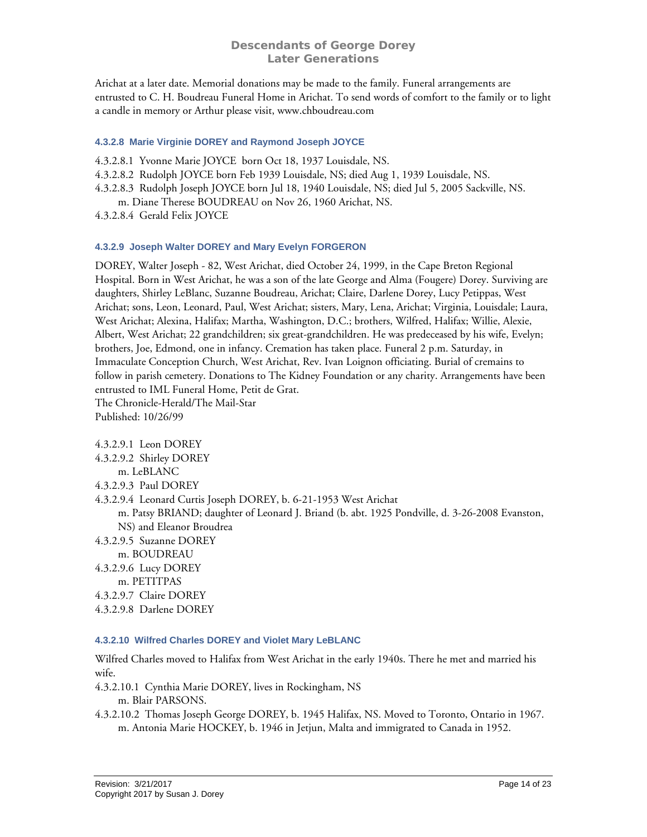Arichat at a later date. Memorial donations may be made to the family. Funeral arrangements are entrusted to C. H. Boudreau Funeral Home in Arichat. To send words of comfort to the family or to light a candle in memory or Arthur please visit, www.chboudreau.com

# <span id="page-13-0"></span>**4.3.2.8 Marie Virginie DOREY and Raymond Joseph JOYCE**

4.3.2.8.1 Yvonne Marie JOYCE born Oct 18, 1937 Louisdale, NS.

4.3.2.8.2 Rudolph JOYCE born Feb 1939 Louisdale, NS; died Aug 1, 1939 Louisdale, NS.

4.3.2.8.3 Rudolph Joseph JOYCE born Jul 18, 1940 Louisdale, NS; died Jul 5, 2005 Sackville, NS.

m. Diane Therese BOUDREAU on Nov 26, 1960 Arichat, NS.

4.3.2.8.4 Gerald Felix JOYCE

#### <span id="page-13-1"></span>**4.3.2.9 Joseph Walter DOREY and Mary Evelyn FORGERON**

DOREY, Walter Joseph - 82, West Arichat, died October 24, 1999, in the Cape Breton Regional Hospital. Born in West Arichat, he was a son of the late George and Alma (Fougere) Dorey. Surviving are daughters, Shirley LeBlanc, Suzanne Boudreau, Arichat; Claire, Darlene Dorey, Lucy Petippas, West Arichat; sons, Leon, Leonard, Paul, West Arichat; sisters, Mary, Lena, Arichat; Virginia, Louisdale; Laura, West Arichat; Alexina, Halifax; Martha, Washington, D.C.; brothers, Wilfred, Halifax; Willie, Alexie, Albert, West Arichat; 22 grandchildren; six great-grandchildren. He was predeceased by his wife, Evelyn; brothers, Joe, Edmond, one in infancy. Cremation has taken place. Funeral 2 p.m. Saturday, in Immaculate Conception Church, West Arichat, Rev. Ivan Loignon officiating. Burial of cremains to follow in parish cemetery. Donations to The Kidney Foundation or any charity. Arrangements have been entrusted to IML Funeral Home, Petit de Grat. The Chronicle-Herald/The Mail-Star

Published: 10/26/99

4.3.2.9.1 Leon DOREY 4.3.2.9.2 Shirley DOREY m. LeBLANC 4.3.2.9.3 Paul DOREY 4.3.2.9.4 Leonard Curtis Joseph DOREY, b. 6-21-1953 West Arichat m. Patsy BRIAND; daughter of Leonard J. Briand (b. abt. 1925 Pondville, d. 3-26-2008 Evanston, NS) and Eleanor Broudrea 4.3.2.9.5 Suzanne DOREY m. BOUDREAU 4.3.2.9.6 Lucy DOREY m. PETITPAS 4.3.2.9.7 Claire DOREY 4.3.2.9.8 Darlene DOREY

#### <span id="page-13-2"></span>**4.3.2.10 Wilfred Charles DOREY and Violet Mary LeBLANC**

Wilfred Charles moved to Halifax from West Arichat in the early 1940s. There he met and married his wife.

- 4.3.2.10.1 Cynthia Marie DOREY, lives in Rockingham, NS m. Blair PARSONS.
- 4.3.2.10.2 Thomas Joseph George DOREY, b. 1945 Halifax, NS. Moved to Toronto, Ontario in 1967. m. Antonia Marie HOCKEY, b. 1946 in Jetjun, Malta and immigrated to Canada in 1952.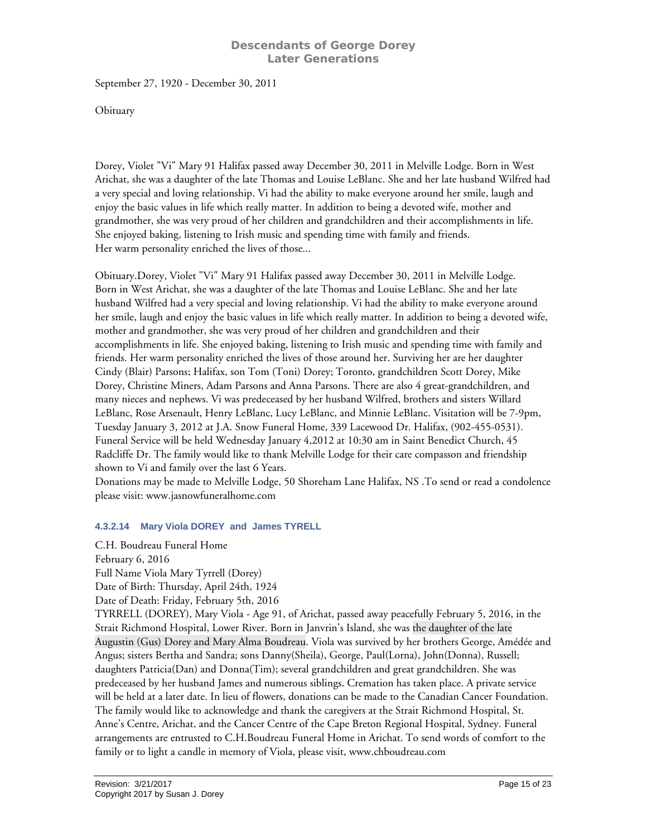September 27, 1920 - December 30, 2011

**Obituary** 

Dorey, Violet "Vi" Mary 91 Halifax passed away December 30, 2011 in Melville Lodge. Born in West Arichat, she was a daughter of the late Thomas and Louise LeBlanc. She and her late husband Wilfred had a very special and loving relationship. Vi had the ability to make everyone around her smile, laugh and enjoy the basic values in life which really matter. In addition to being a devoted wife, mother and grandmother, she was very proud of her children and grandchildren and their accomplishments in life. She enjoyed baking, listening to Irish music and spending time with family and friends. Her warm personality enriched the lives of those...

Obituary.Dorey, Violet "Vi" Mary 91 Halifax passed away December 30, 2011 in Melville Lodge. Born in West Arichat, she was a daughter of the late Thomas and Louise LeBlanc. She and her late husband Wilfred had a very special and loving relationship. Vi had the ability to make everyone around her smile, laugh and enjoy the basic values in life which really matter. In addition to being a devoted wife, mother and grandmother, she was very proud of her children and grandchildren and their accomplishments in life. She enjoyed baking, listening to Irish music and spending time with family and friends. Her warm personality enriched the lives of those around her. Surviving her are her daughter Cindy (Blair) Parsons; Halifax, son Tom (Toni) Dorey; Toronto, grandchildren Scott Dorey, Mike Dorey, Christine Miners, Adam Parsons and Anna Parsons. There are also 4 great-grandchildren, and many nieces and nephews. Vi was predeceased by her husband Wilfred, brothers and sisters Willard LeBlanc, Rose Arsenault, Henry LeBlanc, Lucy LeBlanc, and Minnie LeBlanc. Visitation will be 7-9pm, Tuesday January 3, 2012 at J.A. Snow Funeral Home, 339 Lacewood Dr. Halifax, (902-455-0531). Funeral Service will be held Wednesday January 4,2012 at 10:30 am in Saint Benedict Church, 45 Radcliffe Dr. The family would like to thank Melville Lodge for their care compasson and friendship shown to Vi and family over the last 6 Years.

Donations may be made to Melville Lodge, 50 Shoreham Lane Halifax, NS .To send or read a condolence please visit: www.jasnowfuneralhome.com

# **4.3.2.14 Mary Viola DOREY and James TYRELL**

<span id="page-14-0"></span>C.H. Boudreau Funeral Home February 6, 2016 Full Name Viola Mary Tyrrell (Dorey) Date of Birth: Thursday, April 24th, 1924 Date of Death: Friday, February 5th, 2016 TYRRELL (DOREY), Mary Viola - Age 91, of Arichat, passed away peacefully February 5, 2016, in the Strait Richmond Hospital, Lower River. Born in Janvrin's Island, she was the daughter of the late Augustin (Gus) Dorey and Mary Alma Boudreau. Viola was survived by her brothers George, Amédée and Angus; sisters Bertha and Sandra; sons Danny(Sheila), George, Paul(Lorna), John(Donna), Russell; daughters Patricia(Dan) and Donna(Tim); several grandchildren and great grandchildren. She was predeceased by her husband James and numerous siblings. Cremation has taken place. A private service will be held at a later date. In lieu of flowers, donations can be made to the Canadian Cancer Foundation. The family would like to acknowledge and thank the caregivers at the Strait Richmond Hospital, St. Anne's Centre, Arichat, and the Cancer Centre of the Cape Breton Regional Hospital, Sydney. Funeral arrangements are entrusted to C.H.Boudreau Funeral Home in Arichat. To send words of comfort to the family or to light a candle in memory of Viola, please visit, www.chboudreau.com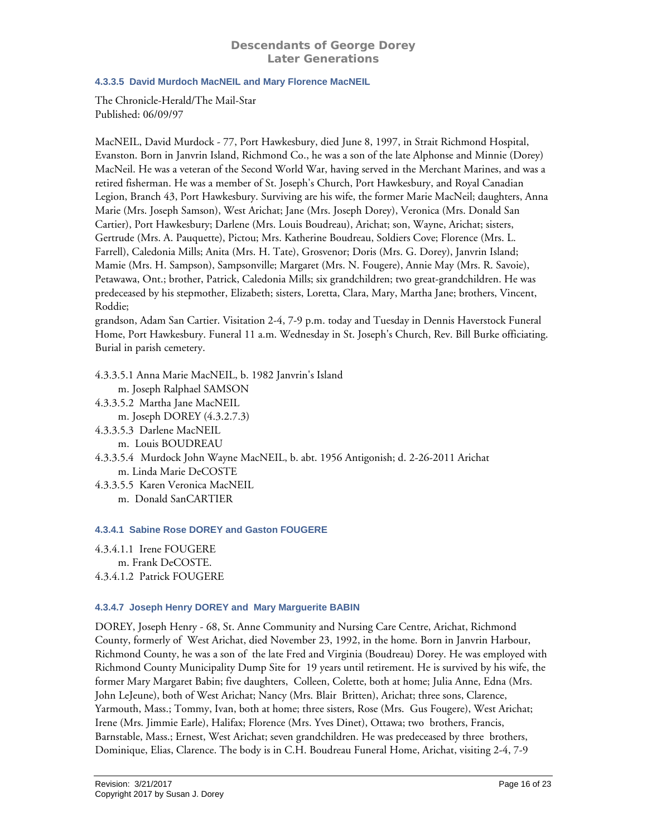# <span id="page-15-0"></span>**4.3.3.5 David Murdoch MacNEIL and Mary Florence MacNEIL**

The Chronicle-Herald/The Mail-Star Published: 06/09/97

MacNEIL, David Murdock - 77, Port Hawkesbury, died June 8, 1997, in Strait Richmond Hospital, Evanston. Born in Janvrin Island, Richmond Co., he was a son of the late Alphonse and Minnie (Dorey) MacNeil. He was a veteran of the Second World War, having served in the Merchant Marines, and was a retired fisherman. He was a member of St. Joseph's Church, Port Hawkesbury, and Royal Canadian Legion, Branch 43, Port Hawkesbury. Surviving are his wife, the former Marie MacNeil; daughters, Anna Marie (Mrs. Joseph Samson), West Arichat; Jane (Mrs. Joseph Dorey), Veronica (Mrs. Donald San Cartier), Port Hawkesbury; Darlene (Mrs. Louis Boudreau), Arichat; son, Wayne, Arichat; sisters, Gertrude (Mrs. A. Pauquette), Pictou; Mrs. Katherine Boudreau, Soldiers Cove; Florence (Mrs. L. Farrell), Caledonia Mills; Anita (Mrs. H. Tate), Grosvenor; Doris (Mrs. G. Dorey), Janvrin Island; Mamie (Mrs. H. Sampson), Sampsonville; Margaret (Mrs. N. Fougere), Annie May (Mrs. R. Savoie), Petawawa, Ont.; brother, Patrick, Caledonia Mills; six grandchildren; two great-grandchildren. He was predeceased by his stepmother, Elizabeth; sisters, Loretta, Clara, Mary, Martha Jane; brothers, Vincent, Roddie;

grandson, Adam San Cartier. Visitation 2-4, 7-9 p.m. today and Tuesday in Dennis Haverstock Funeral Home, Port Hawkesbury. Funeral 11 a.m. Wednesday in St. Joseph's Church, Rev. Bill Burke officiating. Burial in parish cemetery.

4.3.3.5.1 Anna Marie MacNEIL, b. 1982 Janvrin's Island

m. Joseph Ralphael SAMSON

4.3.3.5.2 Martha Jane MacNEIL

m. Joseph DOREY (4.3.2.7.3)

- 4.3.3.5.3 Darlene MacNEIL
	- m. Louis BOUDREAU
- 4.3.3.5.4 Murdock John Wayne MacNEIL, b. abt. 1956 Antigonish; d. 2-26-2011 Arichat m. Linda Marie DeCOSTE

4.3.3.5.5 Karen Veronica MacNEIL m. Donald SanCARTIER

# <span id="page-15-1"></span>**4.3.4.1 Sabine Rose DOREY and Gaston FOUGERE**

4.3.4.1.1 Irene FOUGERE m. Frank DeCOSTE. 4.3.4.1.2 Patrick FOUGERE

# <span id="page-15-2"></span>**4.3.4.7 Joseph Henry DOREY and Mary Marguerite BABIN**

DOREY, Joseph Henry - 68, St. Anne Community and Nursing Care Centre, Arichat, Richmond County, formerly of West Arichat, died November 23, 1992, in the home. Born in Janvrin Harbour, Richmond County, he was a son of the late Fred and Virginia (Boudreau) Dorey. He was employed with Richmond County Municipality Dump Site for 19 years until retirement. He is survived by his wife, the former Mary Margaret Babin; five daughters, Colleen, Colette, both at home; Julia Anne, Edna (Mrs. John LeJeune), both of West Arichat; Nancy (Mrs. Blair Britten), Arichat; three sons, Clarence, Yarmouth, Mass.; Tommy, Ivan, both at home; three sisters, Rose (Mrs. Gus Fougere), West Arichat; Irene (Mrs. Jimmie Earle), Halifax; Florence (Mrs. Yves Dinet), Ottawa; two brothers, Francis, Barnstable, Mass.; Ernest, West Arichat; seven grandchildren. He was predeceased by three brothers, Dominique, Elias, Clarence. The body is in C.H. Boudreau Funeral Home, Arichat, visiting 2-4, 7-9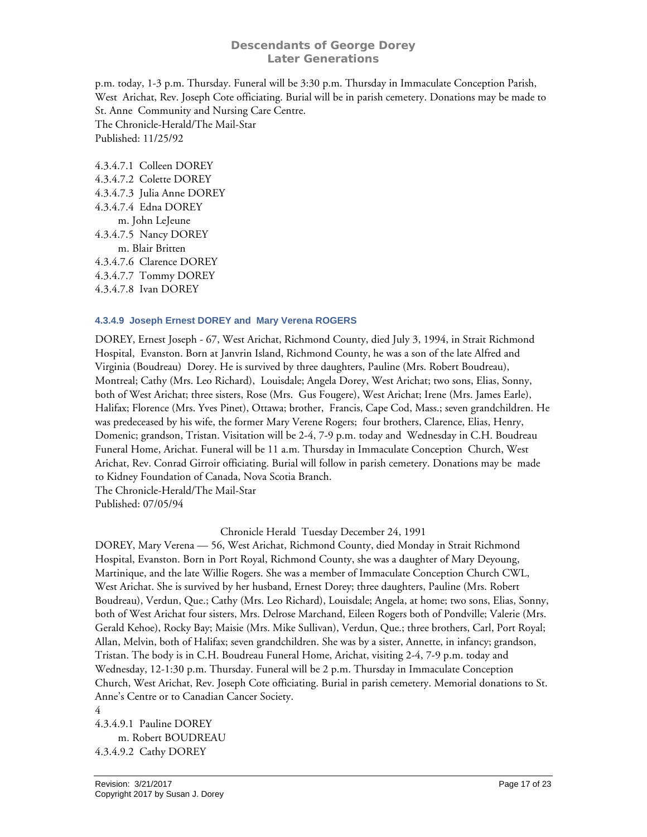p.m. today, 1-3 p.m. Thursday. Funeral will be 3:30 p.m. Thursday in Immaculate Conception Parish, West Arichat, Rev. Joseph Cote officiating. Burial will be in parish cemetery. Donations may be made to St. Anne Community and Nursing Care Centre. The Chronicle-Herald/The Mail-Star Published: 11/25/92

4.3.4.7.1 Colleen DOREY 4.3.4.7.2 Colette DOREY 4.3.4.7.3 Julia Anne DOREY 4.3.4.7.4 Edna DOREY m. John LeJeune 4.3.4.7.5 Nancy DOREY m. Blair Britten 4.3.4.7.6 Clarence DOREY 4.3.4.7.7 Tommy DOREY 4.3.4.7.8 Ivan DOREY

#### <span id="page-16-0"></span>**4.3.4.9 Joseph Ernest DOREY and Mary Verena ROGERS**

DOREY, Ernest Joseph - 67, West Arichat, Richmond County, died July 3, 1994, in Strait Richmond Hospital, Evanston. Born at Janvrin Island, Richmond County, he was a son of the late Alfred and Virginia (Boudreau) Dorey. He is survived by three daughters, Pauline (Mrs. Robert Boudreau), Montreal; Cathy (Mrs. Leo Richard), Louisdale; Angela Dorey, West Arichat; two sons, Elias, Sonny, both of West Arichat; three sisters, Rose (Mrs. Gus Fougere), West Arichat; Irene (Mrs. James Earle), Halifax; Florence (Mrs. Yves Pinet), Ottawa; brother, Francis, Cape Cod, Mass.; seven grandchildren. He was predeceased by his wife, the former Mary Verene Rogers; four brothers, Clarence, Elias, Henry, Domenic; grandson, Tristan. Visitation will be 2-4, 7-9 p.m. today and Wednesday in C.H. Boudreau Funeral Home, Arichat. Funeral will be 11 a.m. Thursday in Immaculate Conception Church, West Arichat, Rev. Conrad Girroir officiating. Burial will follow in parish cemetery. Donations may be made to Kidney Foundation of Canada, Nova Scotia Branch.

The Chronicle-Herald/The Mail-Star Published: 07/05/94

#### Chronicle Herald Tuesday December 24, 1991

DOREY, Mary Verena — 56, West Arichat, Richmond County, died Monday in Strait Richmond Hospital, Evanston. Born in Port Royal, Richmond County, she was a daughter of Mary Deyoung, Martinique, and the late Willie Rogers. She was a member of Immaculate Conception Church CWL, West Arichat. She is survived by her husband, Ernest Dorey; three daughters, Pauline (Mrs. Robert Boudreau), Verdun, Que.; Cathy (Mrs. Leo Richard), Louisdale; Angela, at home; two sons, Elias, Sonny, both of West Arichat four sisters, Mrs. Delrose Marchand, Eileen Rogers both of Pondville; Valerie (Mrs. Gerald Kehoe), Rocky Bay; Maisie (Mrs. Mike Sullivan), Verdun, Que.; three brothers, Carl, Port Royal; Allan, Melvin, both of Halifax; seven grandchildren. She was by a sister, Annette, in infancy; grandson, Tristan. The body is in C.H. Boudreau Funeral Home, Arichat, visiting 2-4, 7-9 p.m. today and Wednesday, 12-1:30 p.m. Thursday. Funeral will be 2 p.m. Thursday in Immaculate Conception Church, West Arichat, Rev. Joseph Cote officiating. Burial in parish cemetery. Memorial donations to St. Anne's Centre or to Canadian Cancer Society.

4 4.3.4.9.1 Pauline DOREY m. Robert BOUDREAU 4.3.4.9.2 Cathy DOREY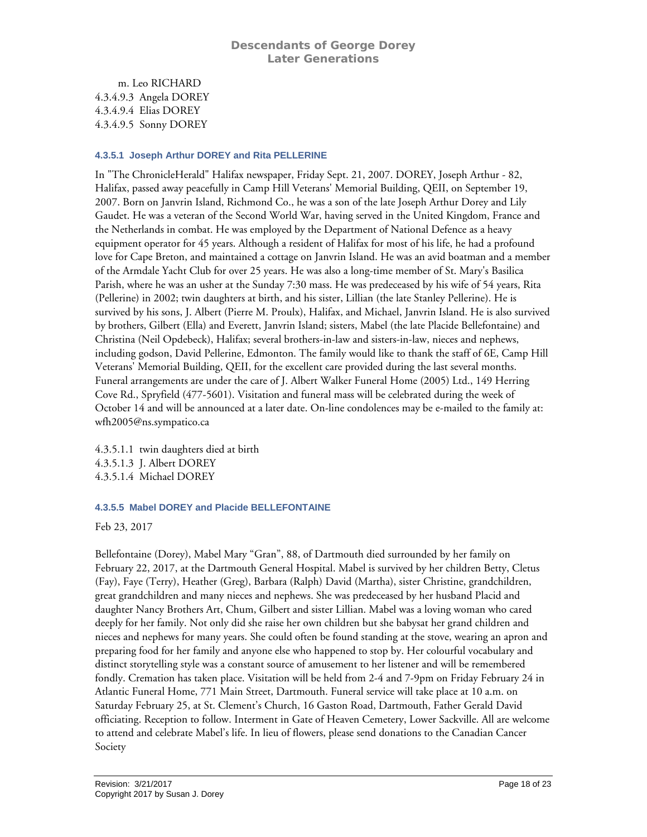m. Leo RICHARD 4.3.4.9.3 Angela DOREY 4.3.4.9.4 Elias DOREY 4.3.4.9.5 Sonny DOREY

#### <span id="page-17-0"></span>**4.3.5.1 Joseph Arthur DOREY and Rita PELLERINE**

In "The ChronicleHerald" Halifax newspaper, Friday Sept. 21, 2007. DOREY, Joseph Arthur - 82, Halifax, passed away peacefully in Camp Hill Veterans' Memorial Building, QEII, on September 19, 2007. Born on Janvrin Island, Richmond Co., he was a son of the late Joseph Arthur Dorey and Lily Gaudet. He was a veteran of the Second World War, having served in the United Kingdom, France and the Netherlands in combat. He was employed by the Department of National Defence as a heavy equipment operator for 45 years. Although a resident of Halifax for most of his life, he had a profound love for Cape Breton, and maintained a cottage on Janvrin Island. He was an avid boatman and a member of the Armdale Yacht Club for over 25 years. He was also a long-time member of St. Mary's Basilica Parish, where he was an usher at the Sunday 7:30 mass. He was predeceased by his wife of 54 years, Rita (Pellerine) in 2002; twin daughters at birth, and his sister, Lillian (the late Stanley Pellerine). He is survived by his sons, J. Albert (Pierre M. Proulx), Halifax, and Michael, Janvrin Island. He is also survived by brothers, Gilbert (Ella) and Everett, Janvrin Island; sisters, Mabel (the late Placide Bellefontaine) and Christina (Neil Opdebeck), Halifax; several brothers-in-law and sisters-in-law, nieces and nephews, including godson, David Pellerine, Edmonton. The family would like to thank the staff of 6E, Camp Hill Veterans' Memorial Building, QEII, for the excellent care provided during the last several months. Funeral arrangements are under the care of J. Albert Walker Funeral Home (2005) Ltd., 149 Herring Cove Rd., Spryfield (477-5601). Visitation and funeral mass will be celebrated during the week of October 14 and will be announced at a later date. On-line condolences may be e-mailed to the family at: wfh2005@ns.sympatico.ca

4.3.5.1.1 twin daughters died at birth 4.3.5.1.3 J. Albert DOREY 4.3.5.1.4 Michael DOREY

#### <span id="page-17-1"></span>**4.3.5.5 Mabel DOREY and Placide BELLEFONTAINE**

Feb 23, 2017

Bellefontaine (Dorey), Mabel Mary "Gran", 88, of Dartmouth died surrounded by her family on February 22, 2017, at the Dartmouth General Hospital. Mabel is survived by her children Betty, Cletus (Fay), Faye (Terry), Heather (Greg), Barbara (Ralph) David (Martha), sister Christine, grandchildren, great grandchildren and many nieces and nephews. She was predeceased by her husband Placid and daughter Nancy Brothers Art, Chum, Gilbert and sister Lillian. Mabel was a loving woman who cared deeply for her family. Not only did she raise her own children but she babysat her grand children and nieces and nephews for many years. She could often be found standing at the stove, wearing an apron and preparing food for her family and anyone else who happened to stop by. Her colourful vocabulary and distinct storytelling style was a constant source of amusement to her listener and will be remembered fondly. Cremation has taken place. Visitation will be held from 2-4 and 7-9pm on Friday February 24 in Atlantic Funeral Home, 771 Main Street, Dartmouth. Funeral service will take place at 10 a.m. on Saturday February 25, at St. Clement's Church, 16 Gaston Road, Dartmouth, Father Gerald David officiating. Reception to follow. Interment in Gate of Heaven Cemetery, Lower Sackville. All are welcome to attend and celebrate Mabel's life. In lieu of flowers, please send donations to the Canadian Cancer Society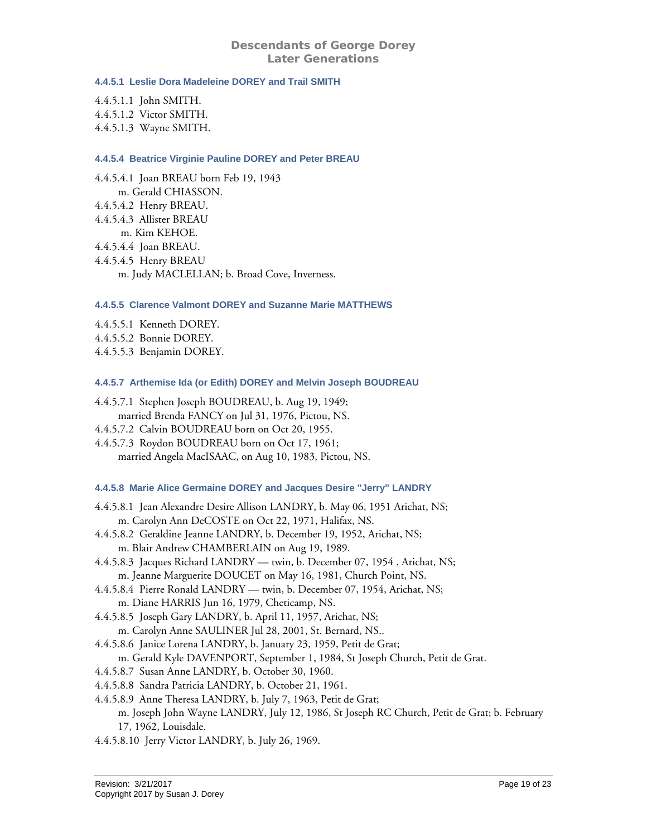#### <span id="page-18-0"></span>**4.4.5.1 Leslie Dora Madeleine DOREY and Trail SMITH**

- 4.4.5.1.1 John SMITH. 4.4.5.1.2 Victor SMITH.
- 4.4.5.1.3 Wayne SMITH.

#### <span id="page-18-1"></span>**4.4.5.4 Beatrice Virginie Pauline DOREY and Peter BREAU**

- 4.4.5.4.1 Joan BREAU born Feb 19, 1943 m. Gerald CHIASSON. 4.4.5.4.2 Henry BREAU. 4.4.5.4.3 Allister BREAU m. Kim KEHOE. 4.4.5.4.4 Joan BREAU. 4.4.5.4.5 Henry BREAU
	- m. Judy MACLELLAN; b. Broad Cove, Inverness.

#### <span id="page-18-2"></span>**4.4.5.5 Clarence Valmont DOREY and Suzanne Marie MATTHEWS**

- 4.4.5.5.1 Kenneth DOREY.
- 4.4.5.5.2 Bonnie DOREY.
- 4.4.5.5.3 Benjamin DOREY.

#### <span id="page-18-3"></span>**4.4.5.7 Arthemise Ida (or Edith) DOREY and Melvin Joseph BOUDREAU**

- 4.4.5.7.1 Stephen Joseph BOUDREAU, b. Aug 19, 1949;
- married Brenda FANCY on Jul 31, 1976, Pictou, NS.
- 4.4.5.7.2 Calvin BOUDREAU born on Oct 20, 1955.
- 4.4.5.7.3 Roydon BOUDREAU born on Oct 17, 1961; married Angela MacISAAC, on Aug 10, 1983, Pictou, NS.

# <span id="page-18-4"></span>**4.4.5.8 Marie Alice Germaine DOREY and Jacques Desire "Jerry" LANDRY**

- 4.4.5.8.1 Jean Alexandre Desire Allison LANDRY, b. May 06, 1951 Arichat, NS; m. Carolyn Ann DeCOSTE on Oct 22, 1971, Halifax, NS.
- 4.4.5.8.2 Geraldine Jeanne LANDRY, b. December 19, 1952, Arichat, NS; m. Blair Andrew CHAMBERLAIN on Aug 19, 1989.
- 4.4.5.8.3 Jacques Richard LANDRY twin, b. December 07, 1954 , Arichat, NS; m. Jeanne Marguerite DOUCET on May 16, 1981, Church Point, NS.
- 4.4.5.8.4 Pierre Ronald LANDRY twin, b. December 07, 1954, Arichat, NS; m. Diane HARRIS Jun 16, 1979, Cheticamp, NS.
- 4.4.5.8.5 Joseph Gary LANDRY, b. April 11, 1957, Arichat, NS;
- m. Carolyn Anne SAULINER Jul 28, 2001, St. Bernard, NS.. 4.4.5.8.6 Janice Lorena LANDRY, b. January 23, 1959, Petit de Grat;
- m. Gerald Kyle DAVENPORT, September 1, 1984, St Joseph Church, Petit de Grat.
- 4.4.5.8.7 Susan Anne LANDRY, b. October 30, 1960.
- 4.4.5.8.8 Sandra Patricia LANDRY, b. October 21, 1961.
- 4.4.5.8.9 Anne Theresa LANDRY, b. July 7, 1963, Petit de Grat;

m. Joseph John Wayne LANDRY, July 12, 1986, St Joseph RC Church, Petit de Grat; b. February 17, 1962, Louisdale.

4.4.5.8.10 Jerry Victor LANDRY, b. July 26, 1969.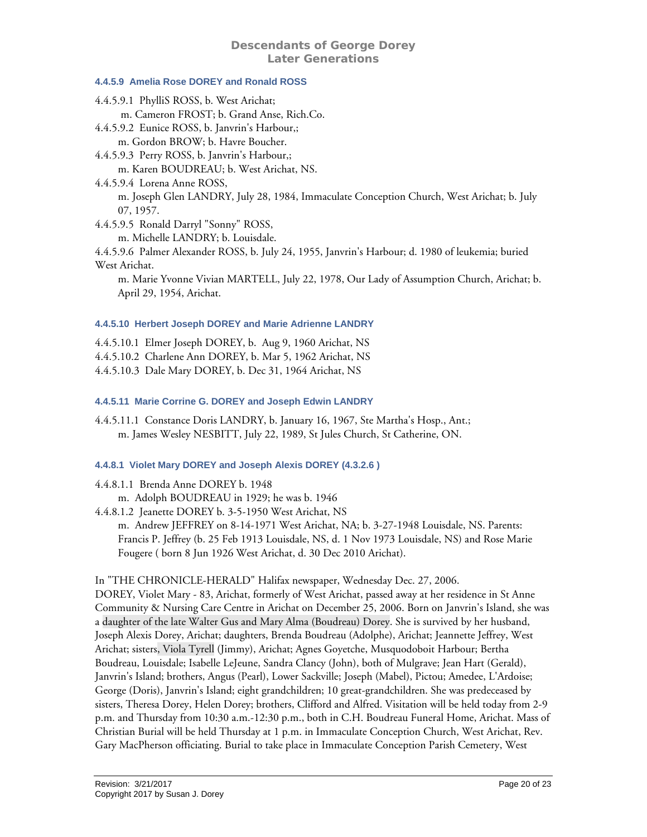# <span id="page-19-0"></span>**4.4.5.9 Amelia Rose DOREY and Ronald ROSS**

4.4.5.9.1 PhylliS ROSS, b. West Arichat; m. Cameron FROST; b. Grand Anse, Rich.Co. 4.4.5.9.2 Eunice ROSS, b. Janvrin's Harbour,; m. Gordon BROW; b. Havre Boucher. 4.4.5.9.3 Perry ROSS, b. Janvrin's Harbour,; m. Karen BOUDREAU; b. West Arichat, NS. 4.4.5.9.4 Lorena Anne ROSS, m. Joseph Glen LANDRY, July 28, 1984, Immaculate Conception Church, West Arichat; b. July 07, 1957. 4.4.5.9.5 Ronald Darryl "Sonny" ROSS, m. Michelle LANDRY; b. Louisdale. 4.4.5.9.6 Palmer Alexander ROSS, b. July 24, 1955, Janvrin's Harbour; d. 1980 of leukemia; buried West Arichat. m. Marie Yvonne Vivian MARTELL, July 22, 1978, Our Lady of Assumption Church, Arichat; b.

#### <span id="page-19-1"></span>**4.4.5.10 Herbert Joseph DOREY and Marie Adrienne LANDRY**

- 4.4.5.10.1 Elmer Joseph DOREY, b. Aug 9, 1960 Arichat, NS
- 4.4.5.10.2 Charlene Ann DOREY, b. Mar 5, 1962 Arichat, NS
- 4.4.5.10.3 Dale Mary DOREY, b. Dec 31, 1964 Arichat, NS

#### <span id="page-19-2"></span>**4.4.5.11 Marie Corrine G. DOREY and Joseph Edwin LANDRY**

4.4.5.11.1 Constance Doris LANDRY, b. January 16, 1967, Ste Martha's Hosp., Ant.; m. James Wesley NESBITT, July 22, 1989, St Jules Church, St Catherine, ON.

#### <span id="page-19-3"></span>**4.4.8.1 Violet Mary DOREY and Joseph Alexis DOREY (4.3.2.6 )**

4.4.8.1.1 Brenda Anne DOREY b. 1948

April 29, 1954, Arichat.

m. Adolph BOUDREAU in 1929; he was b. 1946

4.4.8.1.2 Jeanette DOREY b. 3-5-1950 West Arichat, NS m. Andrew JEFFREY on 8-14-1971 West Arichat, NA; b. 3-27-1948 Louisdale, NS. Parents: Francis P. Jeffrey (b. 25 Feb 1913 Louisdale, NS, d. 1 Nov 1973 Louisdale, NS) and Rose Marie Fougere ( born 8 Jun 1926 West Arichat, d. 30 Dec 2010 Arichat).

#### In "THE CHRONICLE-HERALD" Halifax newspaper, Wednesday Dec. 27, 2006.

DOREY, Violet Mary - 83, Arichat, formerly of West Arichat, passed away at her residence in St Anne Community & Nursing Care Centre in Arichat on December 25, 2006. Born on Janvrin's Island, she was a daughter of the late Walter Gus and Mary Alma (Boudreau) Dorey. She is survived by her husband, Joseph Alexis Dorey, Arichat; daughters, Brenda Boudreau (Adolphe), Arichat; Jeannette Jeffrey, West Arichat; sisters, Viola Tyrell (Jimmy), Arichat; Agnes Goyetche, Musquodoboit Harbour; Bertha Boudreau, Louisdale; Isabelle LeJeune, Sandra Clancy (John), both of Mulgrave; Jean Hart (Gerald), Janvrin's Island; brothers, Angus (Pearl), Lower Sackville; Joseph (Mabel), Pictou; Amedee, L'Ardoise; George (Doris), Janvrin's Island; eight grandchildren; 10 great-grandchildren. She was predeceased by sisters, Theresa Dorey, Helen Dorey; brothers, Clifford and Alfred. Visitation will be held today from 2-9 p.m. and Thursday from 10:30 a.m.-12:30 p.m., both in C.H. Boudreau Funeral Home, Arichat. Mass of Christian Burial will be held Thursday at 1 p.m. in Immaculate Conception Church, West Arichat, Rev. Gary MacPherson officiating. Burial to take place in Immaculate Conception Parish Cemetery, West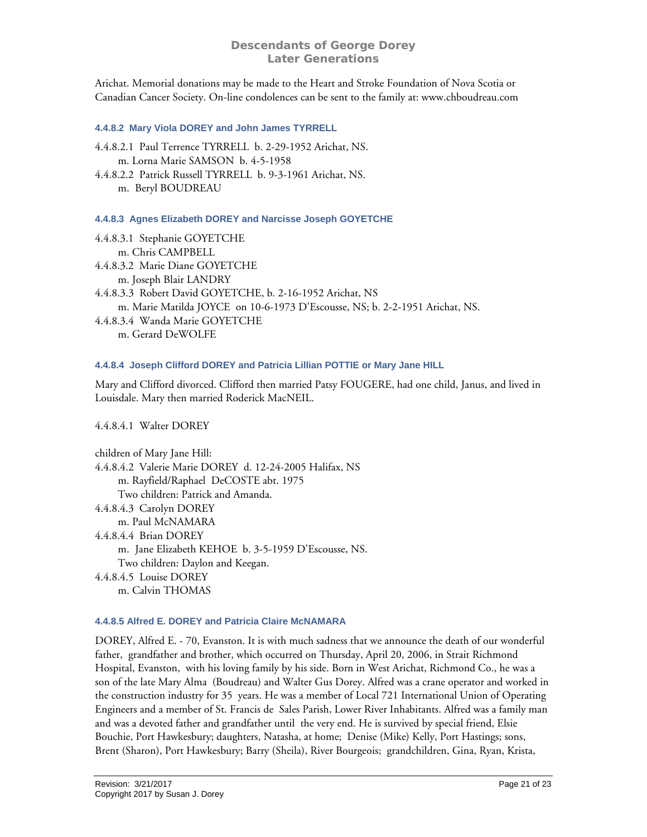Arichat. Memorial donations may be made to the Heart and Stroke Foundation of Nova Scotia or Canadian Cancer Society. On-line condolences can be sent to the family at: www.chboudreau.com

#### <span id="page-20-0"></span>**4.4.8.2 Mary Viola DOREY and John James TYRRELL**

- 4.4.8.2.1 Paul Terrence TYRRELL b. 2-29-1952 Arichat, NS. m. Lorna Marie SAMSON b. 4-5-1958
- 4.4.8.2.2 Patrick Russell TYRRELL b. 9-3-1961 Arichat, NS. m. Beryl BOUDREAU

<span id="page-20-1"></span>**4.4.8.3 Agnes Elizabeth DOREY and Narcisse Joseph GOYETCHE** 

- 4.4.8.3.1 Stephanie GOYETCHE m. Chris CAMPBELL 4.4.8.3.2 Marie Diane GOYETCHE m. Joseph Blair LANDRY
- 4.4.8.3.3 Robert David GOYETCHE, b. 2-16-1952 Arichat, NS
	- m. Marie Matilda JOYCE on 10-6-1973 D'Escousse, NS; b. 2-2-1951 Arichat, NS.
- 4.4.8.3.4 Wanda Marie GOYETCHE m. Gerard DeWOLFE

#### <span id="page-20-2"></span>**4.4.8.4 Joseph Clifford DOREY and Patricia Lillian POTTIE or Mary Jane HILL**

Mary and Clifford divorced. Clifford then married Patsy FOUGERE, had one child, Janus, and lived in Louisdale. Mary then married Roderick MacNEIL.

4.4.8.4.1 Walter DOREY

children of Mary Jane Hill: 4.4.8.4.2 Valerie Marie DOREY d. 12-24-2005 Halifax, NS m. Rayfield/Raphael DeCOSTE abt. 1975 Two children: Patrick and Amanda. 4.4.8.4.3 Carolyn DOREY m. Paul McNAMARA 4.4.8.4.4 Brian DOREY m. Jane Elizabeth KEHOE b. 3-5-1959 D'Escousse, NS. Two children: Daylon and Keegan. 4.4.8.4.5 Louise DOREY m. Calvin THOMAS

#### <span id="page-20-3"></span>**4.4.8.5 Alfred E. DOREY and Patricia Claire McNAMARA**

DOREY, Alfred E. - 70, Evanston. It is with much sadness that we announce the death of our wonderful father, grandfather and brother, which occurred on Thursday, April 20, 2006, in Strait Richmond Hospital, Evanston, with his loving family by his side. Born in West Arichat, Richmond Co., he was a son of the late Mary Alma (Boudreau) and Walter Gus Dorey. Alfred was a crane operator and worked in the construction industry for 35 years. He was a member of Local 721 International Union of Operating Engineers and a member of St. Francis de Sales Parish, Lower River Inhabitants. Alfred was a family man and was a devoted father and grandfather until the very end. He is survived by special friend, Elsie Bouchie, Port Hawkesbury; daughters, Natasha, at home; Denise (Mike) Kelly, Port Hastings; sons, Brent (Sharon), Port Hawkesbury; Barry (Sheila), River Bourgeois; grandchildren, Gina, Ryan, Krista,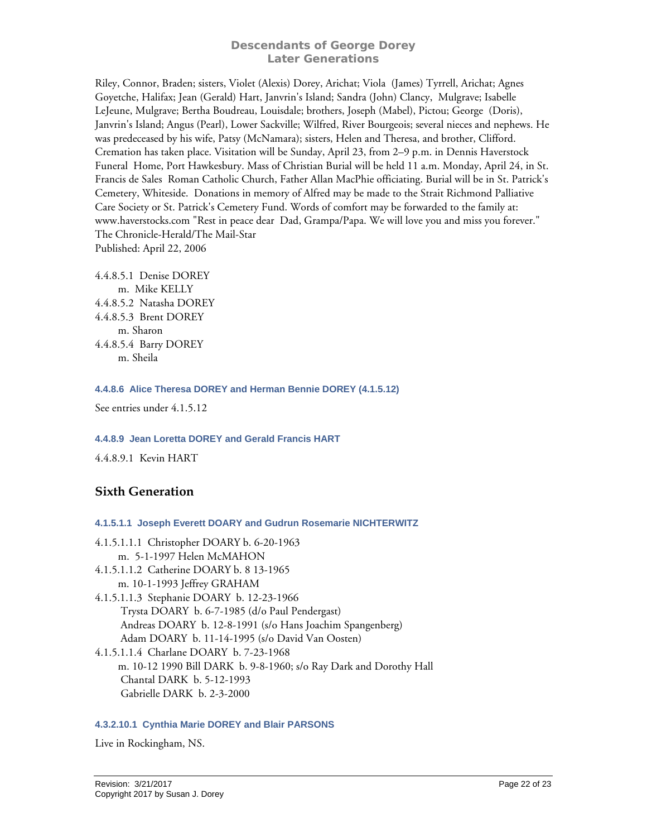Riley, Connor, Braden; sisters, Violet (Alexis) Dorey, Arichat; Viola (James) Tyrrell, Arichat; Agnes Goyetche, Halifax; Jean (Gerald) Hart, Janvrin's Island; Sandra (John) Clancy, Mulgrave; Isabelle LeJeune, Mulgrave; Bertha Boudreau, Louisdale; brothers, Joseph (Mabel), Pictou; George (Doris), Janvrin's Island; Angus (Pearl), Lower Sackville; Wilfred, River Bourgeois; several nieces and nephews. He was predeceased by his wife, Patsy (McNamara); sisters, Helen and Theresa, and brother, Clifford. Cremation has taken place. Visitation will be Sunday, April 23, from 2–9 p.m. in Dennis Haverstock Funeral Home, Port Hawkesbury. Mass of Christian Burial will be held 11 a.m. Monday, April 24, in St. Francis de Sales Roman Catholic Church, Father Allan MacPhie officiating. Burial will be in St. Patrick's Cemetery, Whiteside. Donations in memory of Alfred may be made to the Strait Richmond Palliative Care Society or St. Patrick's Cemetery Fund. Words of comfort may be forwarded to the family at: www.haverstocks.com "Rest in peace dear Dad, Grampa/Papa. We will love you and miss you forever." The Chronicle-Herald/The Mail-Star

Published: April 22, 2006

4.4.8.5.1 Denise DOREY m. Mike KELLY 4.4.8.5.2 Natasha DOREY 4.4.8.5.3 Brent DOREY m. Sharon 4.4.8.5.4 Barry DOREY m. Sheila

#### <span id="page-21-0"></span>**4.4.8.6 Alice Theresa DOREY and Herman Bennie DOREY (4.1.5.12)**

See entries under 4.1.5.12

# <span id="page-21-1"></span>**4.4.8.9 Jean Loretta DOREY and Gerald Francis HART**

4.4.8.9.1 Kevin HART

# <span id="page-21-2"></span>**Sixth Generation**

**4.1.5.1.1 Joseph Everett DOARY and Gudrun Rosemarie NICHTERWITZ** 

<span id="page-21-3"></span>4.1.5.1.1.1 Christopher DOARY b. 6-20-1963 m. 5-1-1997 Helen McMAHON 4.1.5.1.1.2 Catherine DOARY b. 8 13-1965 m. 10-1-1993 Jeffrey GRAHAM 4.1.5.1.1.3 Stephanie DOARY b. 12-23-1966 Trysta DOARY b. 6-7-1985 (d/o Paul Pendergast) Andreas DOARY b. 12-8-1991 (s/o Hans Joachim Spangenberg) Adam DOARY b. 11-14-1995 (s/o David Van Oosten) 4.1.5.1.1.4 Charlane DOARY b. 7-23-1968 m. 10-12 1990 Bill DARK b. 9-8-1960; s/o Ray Dark and Dorothy Hall Chantal DARK b. 5-12-1993 Gabrielle DARK b. 2-3-2000

# <span id="page-21-4"></span>**4.3.2.10.1 Cynthia Marie DOREY and Blair PARSONS**

Live in Rockingham, NS.